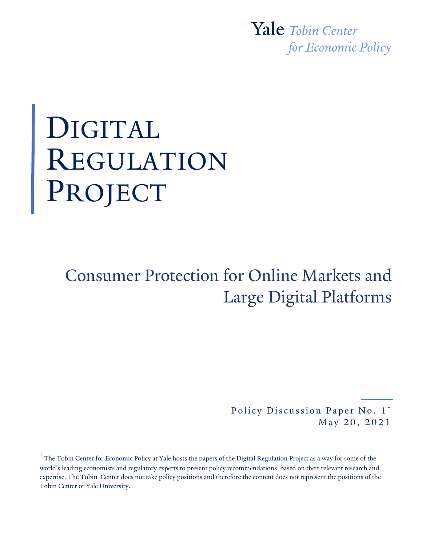Yale Tobin Center for Economic Policy

# DIGITAL REGULATION PROJECT

# Consumer Protection for Online Markets and Large Digital Platforms

 Policy Discussion Paper No. 1**†**  May 20, 2021

**<sup>†</sup>** The Tobin Center for Economic Policy at Yale hosts the papers of the Digital Regulation Project as a way for some of the world's leading economists and regulatory experts to present policy recommendations, based on their relevant research and expertise. The Tobin Center does not take policy positions and therefore the content does not represent the positions of the Tobin Center or Yale University.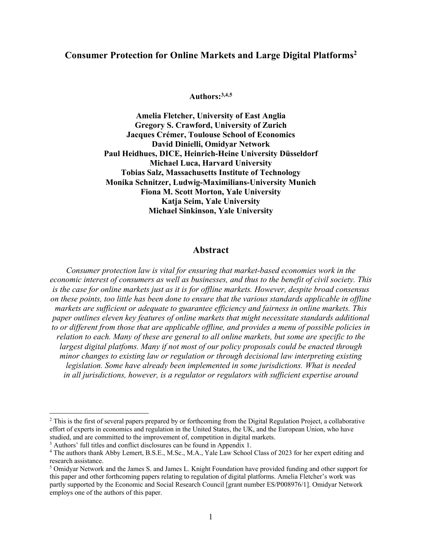# **Consumer Protection for Online Markets and Large Digital Platforms2**

**Authors:3,4,5**

**Amelia Fletcher, University of East Anglia Gregory S. Crawford, University of Zurich Jacques Crémer, Toulouse School of Economics David Dinielli, Omidyar Network Paul Heidhues, DICE, Heinrich-Heine University Düsseldorf Michael Luca, Harvard University Tobias Salz, Massachusetts Institute of Technology Monika Schnitzer, Ludwig-Maximilians-University Munich Fiona M. Scott Morton, Yale University Katja Seim, Yale University Michael Sinkinson, Yale University**

#### **Abstract**

*Consumer protection law is vital for ensuring that market-based economies work in the economic interest of consumers as well as businesses, and thus to the benefit of civil society. This is the case for online markets just as it is for offline markets. However, despite broad consensus on these points, too little has been done to ensure that the various standards applicable in offline markets are sufficient or adequate to guarantee efficiency and fairness in online markets. This paper outlines eleven key features of online markets that might necessitate standards additional to or different from those that are applicable offline, and provides a menu of possible policies in relation to each. Many of these are general to all online markets, but some are specific to the*  largest digital platfoms. Many if not most of our policy proposals could be enacted through *minor changes to existing law or regulation or through decisional law interpreting existing legislation. Some have already been implemented in some jurisdictions. What is needed in all jurisdictions, however, is a regulator or regulators with sufficient expertise around* 

<sup>&</sup>lt;sup>2</sup> This is the first of several papers prepared by or forthcoming from the Digital Regulation Project, a collaborative effort of experts in economics and regulation in the United States, the UK, and the European Union, who have studied, and are committed to the improvement of, competition in digital markets.

<sup>&</sup>lt;sup>3</sup> Authors' full titles and conflict disclosures can be found in Appendix 1.

<sup>4</sup> The authors thank Abby Lemert, B.S.E., M.Sc., M.A., Yale Law School Class of 2023 for her expert editing and research assistance.

<sup>5</sup> Omidyar Network and the James S. and James L. Knight Foundation have provided funding and other support for this paper and other forthcoming papers relating to regulation of digital platforms. Amelia Fletcher's work was partly supported by the Economic and Social Research Council [grant number ES/P008976/1]. Omidyar Network employs one of the authors of this paper.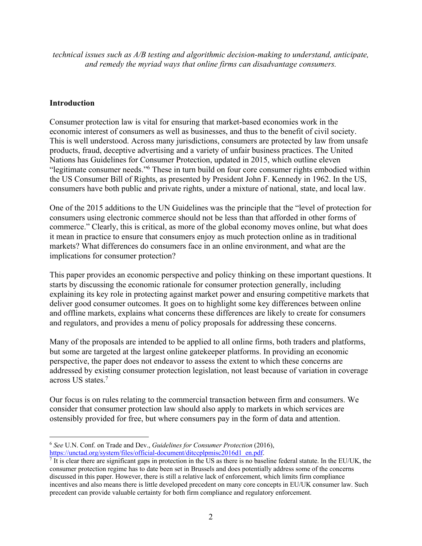*technical issues such as A/B testing and algorithmic decision-making to understand, anticipate, and remedy the myriad ways that online firms can disadvantage consumers.*

#### **Introduction**

Consumer protection law is vital for ensuring that market-based economies work in the economic interest of consumers as well as businesses, and thus to the benefit of civil society. This is well understood. Across many jurisdictions, consumers are protected by law from unsafe products, fraud, deceptive advertising and a variety of unfair business practices. The United Nations has Guidelines for Consumer Protection, updated in 2015, which outline eleven "legitimate consumer needs."6 These in turn build on four core consumer rights embodied within the US Consumer Bill of Rights, as presented by President John F. Kennedy in 1962. In the US, consumers have both public and private rights, under a mixture of national, state, and local law.

One of the 2015 additions to the UN Guidelines was the principle that the "level of protection for consumers using electronic commerce should not be less than that afforded in other forms of commerce." Clearly, this is critical, as more of the global economy moves online, but what does it mean in practice to ensure that consumers enjoy as much protection online as in traditional markets? What differences do consumers face in an online environment, and what are the implications for consumer protection?

This paper provides an economic perspective and policy thinking on these important questions. It starts by discussing the economic rationale for consumer protection generally, including explaining its key role in protecting against market power and ensuring competitive markets that deliver good consumer outcomes. It goes on to highlight some key differences between online and offline markets, explains what concerns these differences are likely to create for consumers and regulators, and provides a menu of policy proposals for addressing these concerns.

Many of the proposals are intended to be applied to all online firms, both traders and platforms, but some are targeted at the largest online gatekeeper platforms. In providing an economic perspective, the paper does not endeavor to assess the extent to which these concerns are addressed by existing consumer protection legislation, not least because of variation in coverage across US states.7

Our focus is on rules relating to the commercial transaction between firm and consumers. We consider that consumer protection law should also apply to markets in which services are ostensibly provided for free, but where consumers pay in the form of data and attention.

<sup>6</sup> *See* U.N. Conf. on Trade and Dev., *Guidelines for Consumer Protection* (2016),

 $\frac{https://unctad.org/system/files/official-document/ditcephmisc2016d1_en.pdf}{?}$  It is clear there are significant gaps in protection in the US as there is no baseline federal statute. In the EU/UK, the consumer protection regime has to date been set in Brussels and does potentially address some of the concerns discussed in this paper. However, there is still a relative lack of enforcement, which limits firm compliance incentives and also means there is little developed precedent on many core concepts in EU/UK consumer law. Such precedent can provide valuable certainty for both firm compliance and regulatory enforcement.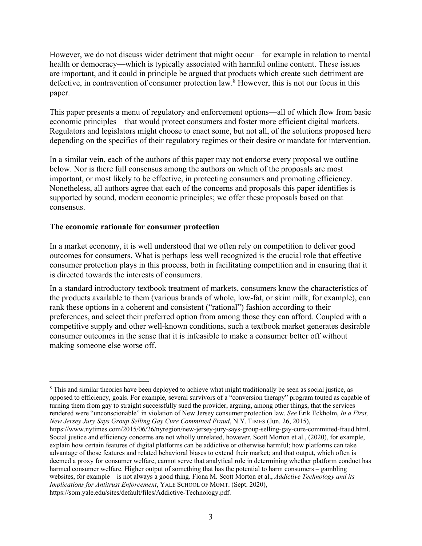However, we do not discuss wider detriment that might occur—for example in relation to mental health or democracy—which is typically associated with harmful online content. These issues are important, and it could in principle be argued that products which create such detriment are defective, in contravention of consumer protection law.8 However, this is not our focus in this paper.

This paper presents a menu of regulatory and enforcement options—all of which flow from basic economic principles—that would protect consumers and foster more efficient digital markets. Regulators and legislators might choose to enact some, but not all, of the solutions proposed here depending on the specifics of their regulatory regimes or their desire or mandate for intervention.

In a similar vein, each of the authors of this paper may not endorse every proposal we outline below. Nor is there full consensus among the authors on which of the proposals are most important, or most likely to be effective, in protecting consumers and promoting efficiency. Nonetheless, all authors agree that each of the concerns and proposals this paper identifies is supported by sound, modern economic principles; we offer these proposals based on that consensus.

#### **The economic rationale for consumer protection**

In a market economy, it is well understood that we often rely on competition to deliver good outcomes for consumers. What is perhaps less well recognized is the crucial role that effective consumer protection plays in this process, both in facilitating competition and in ensuring that it is directed towards the interests of consumers.

In a standard introductory textbook treatment of markets, consumers know the characteristics of the products available to them (various brands of whole, low-fat, or skim milk, for example), can rank these options in a coherent and consistent ("rational") fashion according to their preferences, and select their preferred option from among those they can afford. Coupled with a competitive supply and other well-known conditions, such a textbook market generates desirable consumer outcomes in the sense that it is infeasible to make a consumer better off without making someone else worse off.

<sup>&</sup>lt;sup>8</sup> This and similar theories have been deployed to achieve what might traditionally be seen as social justice, as opposed to efficiency, goals. For example, several survivors of a "conversion therapy" program touted as capable of turning them from gay to straight successfully sued the provider, arguing, among other things, that the services rendered were "unconscionable" in violation of New Jersey consumer protection law. *See* Erik Eckholm, *In a First, New Jersey Jury Says Group Selling Gay Cure Committed Fraud*, N.Y. TIMES (Jun. 26, 2015),

https://www.nytimes.com/2015/06/26/nyregion/new-jersey-jury-says-group-selling-gay-cure-committed-fraud.html. Social justice and efficiency concerns are not wholly unrelated, however. Scott Morton et al., (2020), for example, explain how certain features of digital platforms can be addictive or otherwise harmful; how platforms can take advantage of those features and related behavioral biases to extend their market; and that output, which often is deemed a proxy for consumer welfare, cannot serve that analytical role in determining whether platform conduct has harmed consumer welfare. Higher output of something that has the potential to harm consumers – gambling websites, for example – is not always a good thing. Fiona M. Scott Morton et al., *Addictive Technology and its Implications for Antitrust Enforcement*, YALE SCHOOL OF MGMT. (Sept. 2020), https://som.yale.edu/sites/default/files/Addictive-Technology.pdf.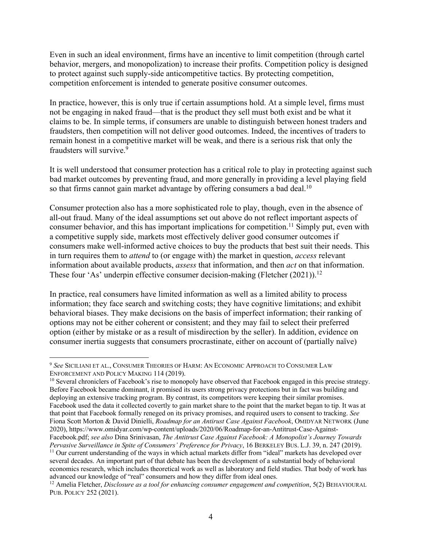Even in such an ideal environment, firms have an incentive to limit competition (through cartel behavior, mergers, and monopolization) to increase their profits. Competition policy is designed to protect against such supply-side anticompetitive tactics. By protecting competition, competition enforcement is intended to generate positive consumer outcomes.

In practice, however, this is only true if certain assumptions hold. At a simple level, firms must not be engaging in naked fraud—that is the product they sell must both exist and be what it claims to be. In simple terms, if consumers are unable to distinguish between honest traders and fraudsters, then competition will not deliver good outcomes. Indeed, the incentives of traders to remain honest in a competitive market will be weak, and there is a serious risk that only the fraudsters will survive.9

It is well understood that consumer protection has a critical role to play in protecting against such bad market outcomes by preventing fraud, and more generally in providing a level playing field so that firms cannot gain market advantage by offering consumers a bad deal.<sup>10</sup>

Consumer protection also has a more sophisticated role to play, though, even in the absence of all-out fraud. Many of the ideal assumptions set out above do not reflect important aspects of consumer behavior, and this has important implications for competition.<sup>11</sup> Simply put, even with a competitive supply side, markets most effectively deliver good consumer outcomes if consumers make well-informed active choices to buy the products that best suit their needs. This in turn requires them to *attend* to (or engage with) the market in question, *access* relevant information about available products, *assess* that information, and then *act* on that information. These four 'As' underpin effective consumer decision-making (Fletcher (2021)).<sup>12</sup>

In practice, real consumers have limited information as well as a limited ability to process information; they face search and switching costs; they have cognitive limitations; and exhibit behavioral biases. They make decisions on the basis of imperfect information; their ranking of options may not be either coherent or consistent; and they may fail to select their preferred option (either by mistake or as a result of misdirection by the seller). In addition, evidence on consumer inertia suggests that consumers procrastinate, either on account of (partially naïve)

<sup>9</sup> *See* SICILIANI ET AL., CONSUMER THEORIES OF HARM: AN ECONOMIC APPROACH TO CONSUMER LAW ENFORCEMENT AND POLICY MAKING 114 (2019).

 $10$  Several chroniclers of Facebook's rise to monopoly have observed that Facebook engaged in this precise strategy. Before Facebook became dominant, it promised its users strong privacy protections but in fact was building and deploying an extensive tracking program. By contrast, its competitors were keeping their similar promises. Facebook used the data it collected covertly to gain market share to the point that the market began to tip. It was at that point that Facebook formally reneged on its privacy promises, and required users to consent to tracking. *See* Fiona Scott Morton & David Dinielli, *Roadmap for an Antirust Case Against Facebook*, OMIDYAR NETWORK (June 2020), https://www.omidyar.com/wp-content/uploads/2020/06/Roadmap-for-an-Antitrust-Case-Against-Facebook.pdf; *see also* Dina Srinivasan, *The Antitrust Case Against Facebook: A Monopolist's Journey Towards Pervasive Surveillance in Spite of Consumers' Preference for Privacy*, 16 BERKELEY BUS. L.J. 39, n. 247 (2019). <sup>11</sup> Our current understanding of the ways in which actual markets differ from "ideal" markets has developed over several decades. An important part of that debate has been the development of a substantial body of behavioral economics research, which includes theoretical work as well as laboratory and field studies. That body of work has advanced our knowledge of "real" consumers and how they differ from ideal ones.

<sup>12</sup> Amelia Fletcher, *Disclosure as a tool for enhancing consumer engagement and competition*, 5(2) BEHAVIOURAL PUB. POLICY 252 (2021).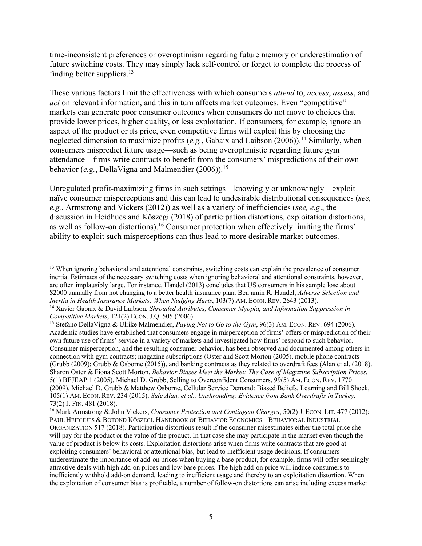time-inconsistent preferences or overoptimism regarding future memory or underestimation of future switching costs. They may simply lack self-control or forget to complete the process of finding better suppliers.13

These various factors limit the effectiveness with which consumers *attend* to, *access*, *assess*, and *act* on relevant information, and this in turn affects market outcomes. Even "competitive" markets can generate poor consumer outcomes when consumers do not move to choices that provide lower prices, higher quality, or less exploitation. If consumers, for example, ignore an aspect of the product or its price, even competitive firms will exploit this by choosing the neglected dimension to maximize profits (*e.g.*, Gabaix and Laibson (2006)).<sup>14</sup> Similarly, when consumers mispredict future usage—such as being overoptimistic regarding future gym attendance—firms write contracts to benefit from the consumers' mispredictions of their own behavior (*e.g.*, DellaVigna and Malmendier (2006)).<sup>15</sup>

Unregulated profit-maximizing firms in such settings—knowingly or unknowingly—exploit naïve consumer misperceptions and this can lead to undesirable distributional consequences (*see, e.g.*, Armstrong and Vickers (2012)) as well as a variety of inefficiencies (*see, e.g*., the discussion in Heidhues and Kőszegi (2018) of participation distortions, exploitation distortions, as well as follow-on distortions).<sup>16</sup> Consumer protection when effectively limiting the firms' ability to exploit such misperceptions can thus lead to more desirable market outcomes.

<sup>&</sup>lt;sup>13</sup> When ignoring behavioral and attentional constraints, switching costs can explain the prevalence of consumer inertia. Estimates of the necessary switching costs when ignoring behavioral and attentional constraints, however, are often implausibly large. For instance, Handel (2013) concludes that US consumers in his sample lose about \$2000 annually from not changing to a better health insurance plan. Benjamin R. Handel, *Adverse Selection and Inertia in Health Insurance Markets: When Nudging Hurts*, 103(7) AM. ECON. REV. 2643 (2013). <sup>14</sup> Xavier Gabaix & David Laibson, *Shrouded Attributes, Consumer Myopia, and Information Suppression in* 

*Competitive Markets*, 121(2) ECON. J.Q. 505 (2006). *15* Stefano Della View, 96(3) AM. ECON. REV. 694 (2006). <sup>15</sup> Stefano Della Vigna & Ulrike Malmendier, *Paying Not to Go to the Gym*, 96(3) AM. ECON. REV. 694 (2006).

Academic studies have established that consumers engage in misperception of firms' offers or misprediction of their own future use of firms' service in a variety of markets and investigated how firms' respond to such behavior. Consumer misperception, and the resulting consumer behavior, has been observed and documented among others in connection with gym contracts; magazine subscriptions (Oster and Scott Morton (2005), mobile phone contracts (Grubb (2009); Grubb & Osborne (2015)), and banking contracts as they related to overdraft fees (Alan et al. (2018). Sharon Oster & Fiona Scott Morton, *Behavior Biases Meet the Market: The Case of Magazine Subscription Prices*, 5(1) BEJEAP 1 (2005). Michael D. Grubb, Selling to Overconfident Consumers, 99(5) AM. ECON. REV. 1770 (2009). Michael D. Grubb & Matthew Osborne, Cellular Service Demand: Biased Beliefs, Learning and Bill Shock, 105(1) AM. ECON. REV. 234 (2015). *Sule Alan, et al., Unshrouding: Evidence from Bank Overdrafts in Turkey*, 73(2) J. FIN. 481 (2018). 16 Mark Armstrong & John Vickers, *Consumer Protection and Contingent Charges*, 50(2) J. ECON. LIT. 477 (2012);

PAUL HEIDHUES & BOTOND KÖSZEGI, HANDBOOK OF BEHAVIOR ECONOMICS – BEHAVIORAL INDUSTRIAL ORGANIZATION 517 (2018). Participation distortions result if the consumer misestimates either the total price she will pay for the product or the value of the product. In that case she may participate in the market even though the value of product is below its costs. Exploitation distortions arise when firms write contracts that are good at exploiting consumers' behavioral or attentional bias, but lead to inefficient usage decisions. If consumers underestimate the importance of add-on prices when buying a base product, for example, firms will offer seemingly attractive deals with high add-on prices and low base prices. The high add-on price will induce consumers to inefficiently withhold add-on demand, leading to inefficient usage and thereby to an exploitation distortion. When the exploitation of consumer bias is profitable, a number of follow-on distortions can arise including excess market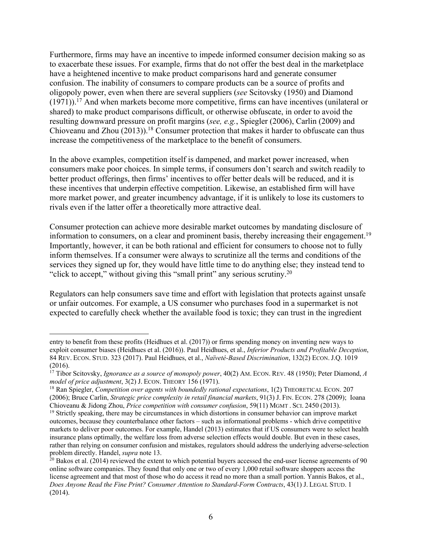Furthermore, firms may have an incentive to impede informed consumer decision making so as to exacerbate these issues. For example, firms that do not offer the best deal in the marketplace have a heightened incentive to make product comparisons hard and generate consumer confusion. The inability of consumers to compare products can be a source of profits and oligopoly power, even when there are several suppliers (*see* Scitovsky (1950) and Diamond  $(1971)$ ).<sup>17</sup> And when markets become more competitive, firms can have incentives (unilateral or shared) to make product comparisons difficult, or otherwise obfuscate, in order to avoid the resulting downward pressure on profit margins (*see, e.g.*, Spiegler (2006), Carlin (2009) and Chioveanu and Zhou  $(2013)$ .<sup>18</sup> Consumer protection that makes it harder to obfuscate can thus increase the competitiveness of the marketplace to the benefit of consumers.

In the above examples, competition itself is dampened, and market power increased, when consumers make poor choices. In simple terms, if consumers don't search and switch readily to better product offerings, then firms' incentives to offer better deals will be reduced, and it is these incentives that underpin effective competition. Likewise, an established firm will have more market power, and greater incumbency advantage, if it is unlikely to lose its customers to rivals even if the latter offer a theoretically more attractive deal.

Consumer protection can achieve more desirable market outcomes by mandating disclosure of information to consumers, on a clear and prominent basis, thereby increasing their engagement. 19 Importantly, however, it can be both rational and efficient for consumers to choose not to fully inform themselves. If a consumer were always to scrutinize all the terms and conditions of the services they signed up for, they would have little time to do anything else; they instead tend to "click to accept," without giving this "small print" any serious scrutiny.20

Regulators can help consumers save time and effort with legislation that protects against unsafe or unfair outcomes. For example, a US consumer who purchases food in a supermarket is not expected to carefully check whether the available food is toxic; they can trust in the ingredient

entry to benefit from these profits (Heidhues et al. (2017)) or firms spending money on inventing new ways to exploit consumer biases (Heidhues et al. (2016)). Paul Heidhues, et al., *Inferior Products and Profitable Deception*, 84 REV. ECON. STUD. 323 (2017). Paul Heidhues, et al., *Naïveté-Based Discrimination*, 132(2) ECON. J.Q. 1019 (2016).

<sup>17</sup> Tibor Scitovsky, *Ignorance as a source of monopoly power*, 40(2) AM. ECON. REV. 48 (1950); Peter Diamond, *A model of price adjustment*, 3(2) J. ECON. THEORY 156 (1971).<br><sup>18</sup> Ran Spiegler, *Competition over agents with boundedly rational expectations*, 1(2) THEORETICAL ECON. 207

<sup>(2006);</sup> Bruce Carlin, *Strategic price complexity in retail financial markets*, 91(3) J. FIN. ECON. 278 (2009); Ioana Chioveanu & Jidong Zhou, *Price competition with consumer confusion*, 59(11) MGMT . SCI. 2450 (2013).

<sup>&</sup>lt;sup>19</sup> Strictly speaking, there may be circumstances in which distortions in consumer behavior can improve market outcomes, because they counterbalance other factors – such as informational problems - which drive competitive markets to deliver poor outcomes. For example, Handel (2013) estimates that if US consumers were to select health insurance plans optimally, the welfare loss from adverse selection effects would double. But even in these cases, rather than relying on consumer confusion and mistakes, regulators should address the underlying adverse-selection problem directly. Handel, *supra* note 13.<br><sup>20</sup> Bakos et al. (2014) reviewed the extent to which potential buyers accessed the end-user license agreements of 90

online software companies. They found that only one or two of every 1,000 retail software shoppers access the license agreement and that most of those who do access it read no more than a small portion. Yannis Bakos, et al., *Does Anyone Read the Fine Print? Consumer Attention to Standard-Form Contracts*, 43(1) J. LEGAL STUD. 1 (2014).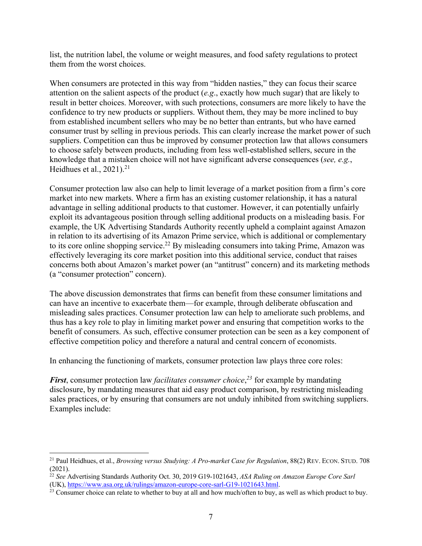list, the nutrition label, the volume or weight measures, and food safety regulations to protect them from the worst choices.

When consumers are protected in this way from "hidden nasties," they can focus their scarce attention on the salient aspects of the product (*e.g*., exactly how much sugar) that are likely to result in better choices. Moreover, with such protections, consumers are more likely to have the confidence to try new products or suppliers. Without them, they may be more inclined to buy from established incumbent sellers who may be no better than entrants, but who have earned consumer trust by selling in previous periods. This can clearly increase the market power of such suppliers. Competition can thus be improved by consumer protection law that allows consumers to choose safely between products, including from less well-established sellers, secure in the knowledge that a mistaken choice will not have significant adverse consequences (*see, e.g.*, Heidhues et al., 2021).<sup>21</sup>

Consumer protection law also can help to limit leverage of a market position from a firm's core market into new markets. Where a firm has an existing customer relationship, it has a natural advantage in selling additional products to that customer. However, it can potentially unfairly exploit its advantageous position through selling additional products on a misleading basis. For example, the UK Advertising Standards Authority recently upheld a complaint against Amazon in relation to its advertising of its Amazon Prime service, which is additional or complementary to its core online shopping service.<sup>22</sup> By misleading consumers into taking Prime, Amazon was effectively leveraging its core market position into this additional service, conduct that raises concerns both about Amazon's market power (an "antitrust" concern) and its marketing methods (a "consumer protection" concern).

The above discussion demonstrates that firms can benefit from these consumer limitations and can have an incentive to exacerbate them—for example, through deliberate obfuscation and misleading sales practices. Consumer protection law can help to ameliorate such problems, and thus has a key role to play in limiting market power and ensuring that competition works to the benefit of consumers. As such, effective consumer protection can be seen as a key component of effective competition policy and therefore a natural and central concern of economists.

In enhancing the functioning of markets, consumer protection law plays three core roles:

*First*, consumer protection law *facilitates consumer choice*, *<sup>23</sup>* for example by mandating disclosure, by mandating measures that aid easy product comparison, by restricting misleading sales practices, or by ensuring that consumers are not unduly inhibited from switching suppliers. Examples include:

<sup>&</sup>lt;sup>21</sup> Paul Heidhues, et al., *Browsing versus Studying: A Pro-market Case for Regulation*, 88(2) REV. ECON. STUD. 708  $(2021).$ 

<sup>22</sup> *See* Advertising Standards Authority Oct. 30, 2019 G19-1021643, *ASA Ruling on Amazon Europe Core Sarl* (UK), https://www.asa.org.uk/rulings/amazon-europe-core-sarl-G19-1021643.html.

<sup>&</sup>lt;sup>23</sup> Consumer choice can relate to whether to buy at all and how much/often to buy, as well as which product to buy.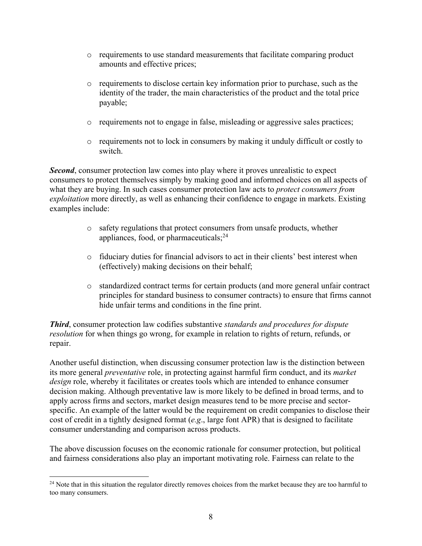- $\circ$  requirements to use standard measurements that facilitate comparing product amounts and effective prices;
- o requirements to disclose certain key information prior to purchase, such as the identity of the trader, the main characteristics of the product and the total price payable;
- o requirements not to engage in false, misleading or aggressive sales practices;
- $\circ$  requirements not to lock in consumers by making it unduly difficult or costly to switch.

*Second*, consumer protection law comes into play where it proves unrealistic to expect consumers to protect themselves simply by making good and informed choices on all aspects of what they are buying. In such cases consumer protection law acts to *protect consumers from exploitation* more directly, as well as enhancing their confidence to engage in markets. Existing examples include:

- o safety regulations that protect consumers from unsafe products, whether appliances, food, or pharmaceuticals; $^{24}$
- o fiduciary duties for financial advisors to act in their clients' best interest when (effectively) making decisions on their behalf;
- o standardized contract terms for certain products (and more general unfair contract principles for standard business to consumer contracts) to ensure that firms cannot hide unfair terms and conditions in the fine print.

*Third*, consumer protection law codifies substantive *standards and procedures for dispute resolution* for when things go wrong, for example in relation to rights of return, refunds, or repair.

Another useful distinction, when discussing consumer protection law is the distinction between its more general *preventative* role, in protecting against harmful firm conduct, and its *market design* role, whereby it facilitates or creates tools which are intended to enhance consumer decision making. Although preventative law is more likely to be defined in broad terms, and to apply across firms and sectors, market design measures tend to be more precise and sectorspecific. An example of the latter would be the requirement on credit companies to disclose their cost of credit in a tightly designed format (*e.g*., large font APR) that is designed to facilitate consumer understanding and comparison across products.

The above discussion focuses on the economic rationale for consumer protection, but political and fairness considerations also play an important motivating role. Fairness can relate to the

<sup>&</sup>lt;sup>24</sup> Note that in this situation the regulator directly removes choices from the market because they are too harmful to too many consumers.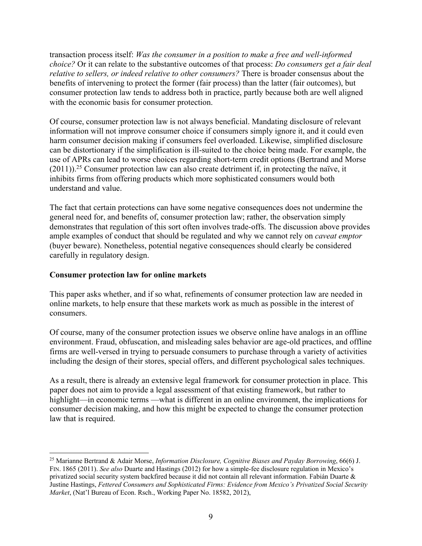transaction process itself: *Was the consumer in a position to make a free and well-informed choice?* Or it can relate to the substantive outcomes of that process: *Do consumers get a fair deal relative to sellers, or indeed relative to other consumers?* There is broader consensus about the benefits of intervening to protect the former (fair process) than the latter (fair outcomes), but consumer protection law tends to address both in practice, partly because both are well aligned with the economic basis for consumer protection.

Of course, consumer protection law is not always beneficial. Mandating disclosure of relevant information will not improve consumer choice if consumers simply ignore it, and it could even harm consumer decision making if consumers feel overloaded. Likewise, simplified disclosure can be distortionary if the simplification is ill-suited to the choice being made. For example, the use of APRs can lead to worse choices regarding short-term credit options (Bertrand and Morse  $(2011)$ .<sup>25</sup> Consumer protection law can also create detriment if, in protecting the naïve, it inhibits firms from offering products which more sophisticated consumers would both understand and value.

The fact that certain protections can have some negative consequences does not undermine the general need for, and benefits of, consumer protection law; rather, the observation simply demonstrates that regulation of this sort often involves trade-offs. The discussion above provides ample examples of conduct that should be regulated and why we cannot rely on *caveat emptor* (buyer beware). Nonetheless, potential negative consequences should clearly be considered carefully in regulatory design.

#### **Consumer protection law for online markets**

This paper asks whether, and if so what, refinements of consumer protection law are needed in online markets, to help ensure that these markets work as much as possible in the interest of consumers.

Of course, many of the consumer protection issues we observe online have analogs in an offline environment. Fraud, obfuscation, and misleading sales behavior are age-old practices, and offline firms are well-versed in trying to persuade consumers to purchase through a variety of activities including the design of their stores, special offers, and different psychological sales techniques.

As a result, there is already an extensive legal framework for consumer protection in place. This paper does not aim to provide a legal assessment of that existing framework, but rather to highlight—in economic terms —what is different in an online environment, the implications for consumer decision making, and how this might be expected to change the consumer protection law that is required.

<sup>25</sup> Marianne Bertrand & Adair Morse, *Information Disclosure, Cognitive Biases and Payday Borrowing*, 66(6) J. FIN. 1865 (2011). *See also* Duarte and Hastings (2012) for how a simple-fee disclosure regulation in Mexico's privatized social security system backfired because it did not contain all relevant information. Fabián Duarte & Justine Hastings, *Fettered Consumers and Sophisticated Firms: Evidence from Mexico's Privatized Social Security Market*, (Nat'l Bureau of Econ. Rsch., Working Paper No. 18582, 2012),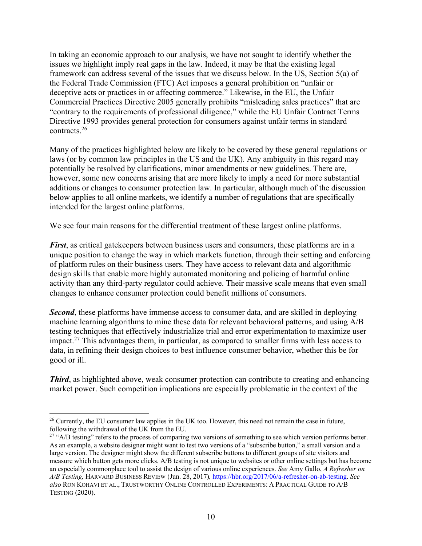In taking an economic approach to our analysis, we have not sought to identify whether the issues we highlight imply real gaps in the law. Indeed, it may be that the existing legal framework can address several of the issues that we discuss below. In the US, Section 5(a) of the Federal Trade Commission (FTC) Act imposes a general prohibition on "unfair or deceptive acts or practices in or affecting commerce." Likewise, in the EU, the Unfair Commercial Practices Directive 2005 generally prohibits "misleading sales practices" that are "contrary to the requirements of professional diligence," while the EU Unfair Contract Terms Directive 1993 provides general protection for consumers against unfair terms in standard contracts.26

Many of the practices highlighted below are likely to be covered by these general regulations or laws (or by common law principles in the US and the UK). Any ambiguity in this regard may potentially be resolved by clarifications, minor amendments or new guidelines. There are, however, some new concerns arising that are more likely to imply a need for more substantial additions or changes to consumer protection law. In particular, although much of the discussion below applies to all online markets, we identify a number of regulations that are specifically intended for the largest online platforms.

We see four main reasons for the differential treatment of these largest online platforms.

*First*, as critical gatekeepers between business users and consumers, these platforms are in a unique position to change the way in which markets function, through their setting and enforcing of platform rules on their business users. They have access to relevant data and algorithmic design skills that enable more highly automated monitoring and policing of harmful online activity than any third-party regulator could achieve. Their massive scale means that even small changes to enhance consumer protection could benefit millions of consumers.

*Second*, these platforms have immense access to consumer data, and are skilled in deploying machine learning algorithms to mine these data for relevant behavioral patterns, and using A/B testing techniques that effectively industrialize trial and error experimentation to maximize user impact.<sup>27</sup> This advantages them, in particular, as compared to smaller firms with less access to data, in refining their design choices to best influence consumer behavior, whether this be for good or ill.

*Third*, as highlighted above, weak consumer protection can contribute to creating and enhancing market power. Such competition implications are especially problematic in the context of the

<sup>&</sup>lt;sup>26</sup> Currently, the EU consumer law applies in the UK too. However, this need not remain the case in future, following the withdrawal of the UK from the EU.

<sup>&</sup>lt;sup>27</sup> "A/B testing" refers to the process of comparing two versions of something to see which version performs better. As an example, a website designer might want to test two versions of a "subscribe button," a small version and a large version. The designer might show the different subscribe buttons to different groups of site visitors and measure which button gets more clicks. A/B testing is not unique to websites or other online settings but has become an especially commonplace tool to assist the design of various online experiences. *See* Amy Gallo, *A Refresher on A/B Testing,* HARVARD BUSINESS REVIEW (Jun. 28, 2017)*,* https://hbr.org/2017/06/a-refresher-on-ab-testing. *See also* RON KOHAVI ET AL., TRUSTWORTHY ONLINE CONTROLLED EXPERIMENTS: A PRACTICAL GUIDE TO A/B TESTING (2020).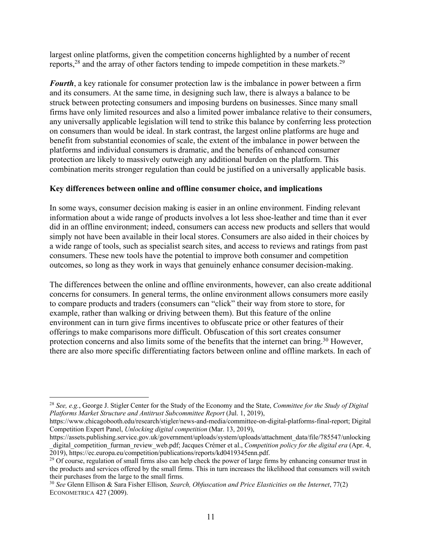largest online platforms, given the competition concerns highlighted by a number of recent reports,<sup>28</sup> and the array of other factors tending to impede competition in these markets.<sup>29</sup>

*Fourth*, a key rationale for consumer protection law is the imbalance in power between a firm and its consumers. At the same time, in designing such law, there is always a balance to be struck between protecting consumers and imposing burdens on businesses. Since many small firms have only limited resources and also a limited power imbalance relative to their consumers, any universally applicable legislation will tend to strike this balance by conferring less protection on consumers than would be ideal. In stark contrast, the largest online platforms are huge and benefit from substantial economies of scale, the extent of the imbalance in power between the platforms and individual consumers is dramatic, and the benefits of enhanced consumer protection are likely to massively outweigh any additional burden on the platform. This combination merits stronger regulation than could be justified on a universally applicable basis.

#### **Key differences between online and offline consumer choice, and implications**

In some ways, consumer decision making is easier in an online environment. Finding relevant information about a wide range of products involves a lot less shoe-leather and time than it ever did in an offline environment; indeed, consumers can access new products and sellers that would simply not have been available in their local stores. Consumers are also aided in their choices by a wide range of tools, such as specialist search sites, and access to reviews and ratings from past consumers. These new tools have the potential to improve both consumer and competition outcomes, so long as they work in ways that genuinely enhance consumer decision-making.

The differences between the online and offline environments, however, can also create additional concerns for consumers. In general terms, the online environment allows consumers more easily to compare products and traders (consumers can "click" their way from store to store, for example, rather than walking or driving between them). But this feature of the online environment can in turn give firms incentives to obfuscate price or other features of their offerings to make comparisons more difficult. Obfuscation of this sort creates consumer protection concerns and also limits some of the benefits that the internet can bring.<sup>30</sup> However, there are also more specific differentiating factors between online and offline markets. In each of

<sup>28</sup> *See, e.g.*, George J. Stigler Center for the Study of the Economy and the State, *Committee for the Study of Digital Platforms Market Structure and Antitrust Subcommittee Report* (Jul. 1, 2019),

https://www.chicagobooth.edu/research/stigler/news-and-media/committee-on-digital-platforms-final-report; Digital Competition Expert Panel, *Unlocking digital competition* (Mar. 13, 2019),

https://assets.publishing.service.gov.uk/government/uploads/system/uploads/attachment\_data/file/785547/unlocking digital competition furman review web.pdf; Jacques Crémer et al., *Competition policy for the digital era* (Apr. 4, 2019), https://ec.europa.eu/competition/publications/reports/kd0419345enn.pdf.

<sup>&</sup>lt;sup>29</sup> Of course, regulation of small firms also can help check the power of large firms by enhancing consumer trust in the products and services offered by the small firms. This in turn increases the likelihood that consumers will switch their purchases from the large to the small firms.<br><sup>30</sup> *See* Glenn Ellison & Sara Fisher Ellison, *Search, Obfuscation and Price Elasticities on the Internet*, 77(2)

ECONOMETRICA 427 (2009).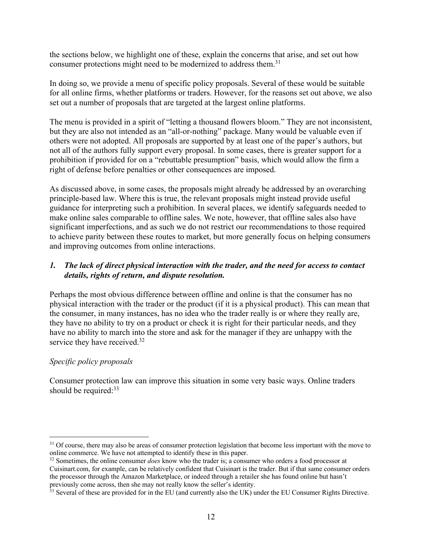the sections below, we highlight one of these, explain the concerns that arise, and set out how consumer protections might need to be modernized to address them.<sup>31</sup>

In doing so, we provide a menu of specific policy proposals. Several of these would be suitable for all online firms, whether platforms or traders. However, for the reasons set out above, we also set out a number of proposals that are targeted at the largest online platforms.

The menu is provided in a spirit of "letting a thousand flowers bloom." They are not inconsistent, but they are also not intended as an "all-or-nothing" package. Many would be valuable even if others were not adopted. All proposals are supported by at least one of the paper's authors, but not all of the authors fully support every proposal. In some cases, there is greater support for a prohibition if provided for on a "rebuttable presumption" basis, which would allow the firm a right of defense before penalties or other consequences are imposed.

As discussed above, in some cases, the proposals might already be addressed by an overarching principle-based law. Where this is true, the relevant proposals might instead provide useful guidance for interpreting such a prohibition. In several places, we identify safeguards needed to make online sales comparable to offline sales. We note, however, that offline sales also have significant imperfections, and as such we do not restrict our recommendations to those required to achieve parity between these routes to market, but more generally focus on helping consumers and improving outcomes from online interactions.

#### *1. The lack of direct physical interaction with the trader, and the need for access to contact details, rights of return, and dispute resolution.*

Perhaps the most obvious difference between offline and online is that the consumer has no physical interaction with the trader or the product (if it is a physical product). This can mean that the consumer, in many instances, has no idea who the trader really is or where they really are, they have no ability to try on a product or check it is right for their particular needs, and they have no ability to march into the store and ask for the manager if they are unhappy with the service they have received.<sup>32</sup>

# *Specific policy proposals*

Consumer protection law can improve this situation in some very basic ways. Online traders should be required: $33$ 

 $31$  Of course, there may also be areas of consumer protection legislation that become less important with the move to online commerce. We have not attempted to identify these in this paper.

<sup>&</sup>lt;sup>32</sup> Sometimes, the online consumer *does* know who the trader is; a consumer who orders a food processor at Cuisinart.com, for example, can be relatively confident that Cuisinart is the trader. But if that same consumer orders the processor through the Amazon Marketplace, or indeed through a retailer she has found online but hasn't previously come across, then she may not really know the seller's identity.<br><sup>33</sup> Several of these are provided for in the EU (and currently also the UK) under the EU Consumer Rights Directive.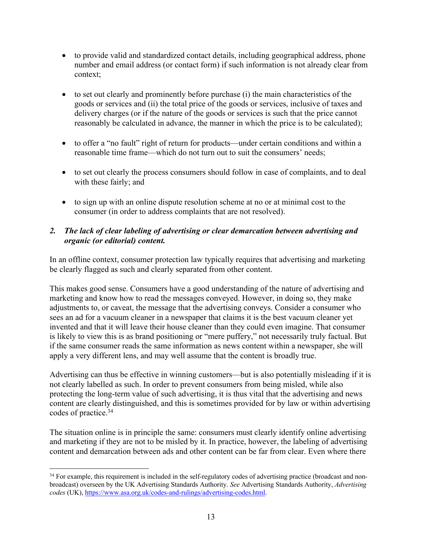- to provide valid and standardized contact details, including geographical address, phone number and email address (or contact form) if such information is not already clear from context;
- to set out clearly and prominently before purchase (i) the main characteristics of the goods or services and (ii) the total price of the goods or services, inclusive of taxes and delivery charges (or if the nature of the goods or services is such that the price cannot reasonably be calculated in advance, the manner in which the price is to be calculated);
- to offer a "no fault" right of return for products—under certain conditions and within a reasonable time frame—which do not turn out to suit the consumers' needs;
- to set out clearly the process consumers should follow in case of complaints, and to deal with these fairly; and
- to sign up with an online dispute resolution scheme at no or at minimal cost to the consumer (in order to address complaints that are not resolved).

# *2. The lack of clear labeling of advertising or clear demarcation between advertising and organic (or editorial) content.*

In an offline context, consumer protection law typically requires that advertising and marketing be clearly flagged as such and clearly separated from other content.

This makes good sense. Consumers have a good understanding of the nature of advertising and marketing and know how to read the messages conveyed. However, in doing so, they make adjustments to, or caveat, the message that the advertising conveys. Consider a consumer who sees an ad for a vacuum cleaner in a newspaper that claims it is the best vacuum cleaner yet invented and that it will leave their house cleaner than they could even imagine. That consumer is likely to view this is as brand positioning or "mere puffery," not necessarily truly factual. But if the same consumer reads the same information as news content within a newspaper, she will apply a very different lens, and may well assume that the content is broadly true.

Advertising can thus be effective in winning customers—but is also potentially misleading if it is not clearly labelled as such. In order to prevent consumers from being misled, while also protecting the long-term value of such advertising, it is thus vital that the advertising and news content are clearly distinguished, and this is sometimes provided for by law or within advertising codes of practice. 34

The situation online is in principle the same: consumers must clearly identify online advertising and marketing if they are not to be misled by it. In practice, however, the labeling of advertising content and demarcation between ads and other content can be far from clear. Even where there

 $34$  For example, this requirement is included in the self-regulatory codes of advertising practice (broadcast and nonbroadcast) overseen by the UK Advertising Standards Authority. *See* Advertising Standards Authority, *Advertising codes* (UK), https://www.asa.org.uk/codes-and-rulings/advertising-codes.html.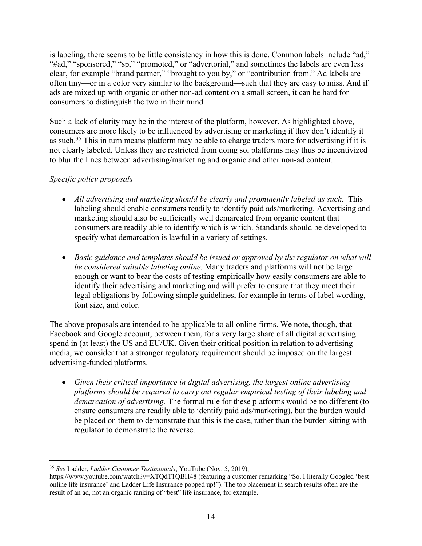is labeling, there seems to be little consistency in how this is done. Common labels include "ad," "#ad," "sponsored," "sp," "promoted," or "advertorial," and sometimes the labels are even less clear, for example "brand partner," "brought to you by," or "contribution from." Ad labels are often tiny—or in a color very similar to the background—such that they are easy to miss. And if ads are mixed up with organic or other non-ad content on a small screen, it can be hard for consumers to distinguish the two in their mind.

Such a lack of clarity may be in the interest of the platform, however. As highlighted above, consumers are more likely to be influenced by advertising or marketing if they don't identify it as such.<sup>35</sup> This in turn means platform may be able to charge traders more for advertising if it is not clearly labeled. Unless they are restricted from doing so, platforms may thus be incentivized to blur the lines between advertising/marketing and organic and other non-ad content.

# *Specific policy proposals*

- *All advertising and marketing should be clearly and prominently labeled as such.* This labeling should enable consumers readily to identify paid ads/marketing. Advertising and marketing should also be sufficiently well demarcated from organic content that consumers are readily able to identify which is which. Standards should be developed to specify what demarcation is lawful in a variety of settings.
- *Basic guidance and templates should be issued or approved by the regulator on what will be considered suitable labeling online.* Many traders and platforms will not be large enough or want to bear the costs of testing empirically how easily consumers are able to identify their advertising and marketing and will prefer to ensure that they meet their legal obligations by following simple guidelines, for example in terms of label wording, font size, and color.

The above proposals are intended to be applicable to all online firms. We note, though, that Facebook and Google account, between them, for a very large share of all digital advertising spend in (at least) the US and EU/UK. Given their critical position in relation to advertising media, we consider that a stronger regulatory requirement should be imposed on the largest advertising-funded platforms.

• *Given their critical importance in digital advertising, the largest online advertising platforms should be required to carry out regular empirical testing of their labeling and demarcation of advertising.* The formal rule for these platforms would be no different (to ensure consumers are readily able to identify paid ads/marketing), but the burden would be placed on them to demonstrate that this is the case, rather than the burden sitting with regulator to demonstrate the reverse.

<sup>35</sup> *See* Ladder, *Ladder Customer Testimonials*, YouTube (Nov. 5, 2019),

https://www.youtube.com/watch?v=XTQdT1QBH48 (featuring a customer remarking "So, I literally Googled 'best online life insurance' and Ladder Life Insurance popped up!"). The top placement in search results often are the result of an ad, not an organic ranking of "best" life insurance, for example.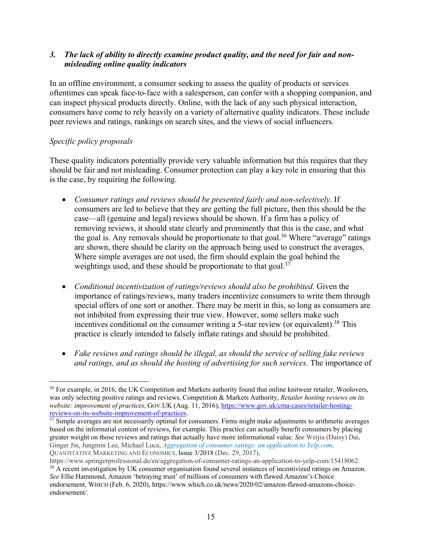#### *3. The lack of ability to directly examine product quality, and the need for fair and nonmisleading online quality indicators*

In an offline environment, a consumer seeking to assess the quality of products or services oftentimes can speak face-to-face with a salesperson, can confer with a shopping companion, and can inspect physical products directly. Online, with the lack of any such physical interaction, consumers have come to rely heavily on a variety of alternative quality indicators. These include peer reviews and ratings, rankings on search sites, and the views of social influencers.

# *Specific policy proposals*

These quality indicators potentially provide very valuable information but this requires that they should be fair and not misleading. Consumer protection can play a key role in ensuring that this is the case, by requiring the following.

- *Consumer ratings and reviews should be presented fairly and non-selectively.* If consumers are led to believe that they are getting the full picture, then this should be the case—all (genuine and legal) reviews should be shown. If a firm has a policy of removing reviews, it should state clearly and prominently that this is the case, and what the goal is. Any removals should be proportionate to that goal.<sup>36</sup> Where "average" ratings are shown, there should be clarity on the approach being used to construct the averages. Where simple averages are not used, the firm should explain the goal behind the weightings used, and these should be proportionate to that goal.<sup>37</sup>
- *Conditional incentivization of ratings/reviews should also be prohibited.* Given the importance of ratings/reviews, many traders incentivize consumers to write them through special offers of one sort or another. There may be merit in this, so long as consumers are not inhibited from expressing their true view. However, some sellers make such incentives conditional on the consumer writing a 5-star review (or equivalent).<sup>38</sup> This practice is clearly intended to falsely inflate ratings and should be prohibited.
- Fake reviews and ratings should be illegal, as should the service of selling fake reviews *and ratings, and as should the hosting of advertising for such services.* The importance of

<sup>&</sup>lt;sup>36</sup> For example, in 2016, the UK Competition and Markets authority found that online knitwear retailer, Woolovers, was only selecting positive ratings and reviews. Competition & Markets Authority, *Retailer hosting reviews on its website: improvement of practices, GOV.UK (Aug. 11, 2016), https://www.gov.uk/cma-cases/retailer-hosting-*<br>reviews-on-its-website-improvement-of-practices.

 $\frac{37}{37}$  Simple averages are not necessarily optimal for consumers. Firms might make adjustments to arithmetic averages based on the informatial content of reviews, for example. This practice can actually benefit consumers by placing greater weight on those reviews and ratings that actually have more informational value. *See* Weijia (Daisy) Dai, Ginger Jin, Jungmin Lee, Michael Luca, *Aggregation of consumer ratings: an application to Yelp.com*, QUANTITATIVE MARKETING AND ECONOMICS, Issue 3/2018 (Dec. 29, 2017),

https://www.springerprofessional.de/en/aggregation-of-consumer-ratings-an-application-to-yelp-com/15418062.

<sup>&</sup>lt;sup>38</sup> A recent investigation by UK consumer organisation found several instances of incentivized ratings on Amazon. *See* Ellie Hammond, Amazon 'betraying trust' of millions of consumers with flawed Amazon's Choice endorsement, WHICH (Feb. 6, 2020), https://www.which.co.uk/news/2020/02/amazon-flawed-amazons-choiceendorsement/.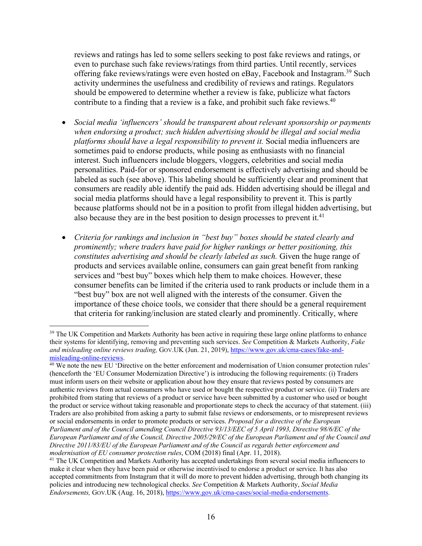reviews and ratings has led to some sellers seeking to post fake reviews and ratings, or even to purchase such fake reviews/ratings from third parties. Until recently, services offering fake reviews/ratings were even hosted on eBay, Facebook and Instagram.<sup>39</sup> Such activity undermines the usefulness and credibility of reviews and ratings. Regulators should be empowered to determine whether a review is fake, publicize what factors contribute to a finding that a review is a fake, and prohibit such fake reviews.<sup>40</sup>

- *Social media 'influencers' should be transparent about relevant sponsorship or payments when endorsing a product; such hidden advertising should be illegal and social media platforms should have a legal responsibility to prevent it.* Social media influencers are sometimes paid to endorse products, while posing as enthusiasts with no financial interest. Such influencers include bloggers, vloggers, celebrities and social media personalities. Paid-for or sponsored endorsement is effectively advertising and should be labeled as such (see above). This labeling should be sufficiently clear and prominent that consumers are readily able identify the paid ads. Hidden advertising should be illegal and social media platforms should have a legal responsibility to prevent it. This is partly because platforms should not be in a position to profit from illegal hidden advertising, but also because they are in the best position to design processes to prevent it. $41$
- *Criteria for rankings and inclusion in "best buy" boxes should be stated clearly and prominently; where traders have paid for higher rankings or better positioning, this constitutes advertising and should be clearly labeled as such.* Given the huge range of products and services available online, consumers can gain great benefit from ranking services and "best buy" boxes which help them to make choices. However, these consumer benefits can be limited if the criteria used to rank products or include them in a "best buy" box are not well aligned with the interests of the consumer. Given the importance of these choice tools, we consider that there should be a general requirement that criteria for ranking/inclusion are stated clearly and prominently. Critically, where

<sup>&</sup>lt;sup>39</sup> The UK Competition and Markets Authority has been active in requiring these large online platforms to enhance their systems for identifying, removing and preventing such services. *See* Competition & Markets Authority, *Fake and misleading online reviews trading,* GOV.UK (Jun. 21, 2019), https://www.gov.uk/cma-cases/fake-andmisleading-online-reviews.<br><sup>40</sup> We note the new EU 'Directive on the better enforcement and modernisation of Union consumer protection rules'

<sup>(</sup>henceforth the 'EU Consumer Modernization Directive') is introducing the following requirements: (i) Traders must inform users on their website or application about how they ensure that reviews posted by consumers are authentic reviews from actual consumers who have used or bought the respective product or service. (ii) Traders are prohibited from stating that reviews of a product or service have been submitted by a customer who used or bought the product or service without taking reasonable and proportionate steps to check the accuracy of that statement. (iii) Traders are also prohibited from asking a party to submit false reviews or endorsements, or to misrepresent reviews or social endorsements in order to promote products or services. *Proposal for a directive of the European Parliament and of the Council amending Council Directive 93/13/EEC of 5 April 1993, Directive 98/6/EC of the European Parliament and of the Council, Directive 2005/29/EC of the European Parliament and of the Council and Directive 2011/83/EU of the European Parliament and of the Council as regards better enforcement and modernisation of EU consumer protection rules*, COM (2018) final (Apr. 11, 2018).

<sup>&</sup>lt;sup>41</sup> The UK Competition and Markets Authority has accepted undertakings from several social media influencers to make it clear when they have been paid or otherwise incentivised to endorse a product or service. It has also accepted commitments from Instagram that it will do more to prevent hidden advertising, through both changing its policies and introducing new technological checks. *See* Competition & Markets Authority, *Social Media Endorsements,* GOV.UK (Aug. 16, 2018), https://www.gov.uk/cma-cases/social-media-endorsements.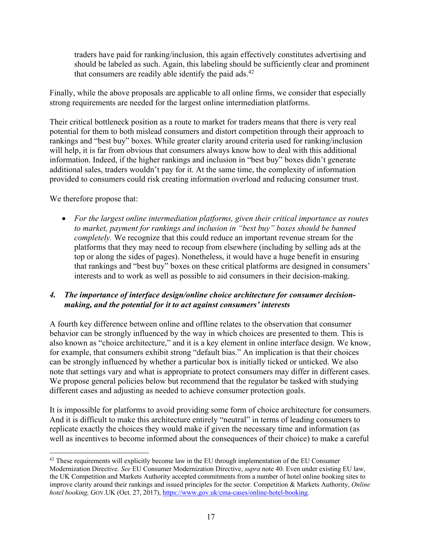traders have paid for ranking/inclusion, this again effectively constitutes advertising and should be labeled as such. Again, this labeling should be sufficiently clear and prominent that consumers are readily able identify the paid ads. $42$ 

Finally, while the above proposals are applicable to all online firms, we consider that especially strong requirements are needed for the largest online intermediation platforms.

Their critical bottleneck position as a route to market for traders means that there is very real potential for them to both mislead consumers and distort competition through their approach to rankings and "best buy" boxes. While greater clarity around criteria used for ranking/inclusion will help, it is far from obvious that consumers always know how to deal with this additional information. Indeed, if the higher rankings and inclusion in "best buy" boxes didn't generate additional sales, traders wouldn't pay for it. At the same time, the complexity of information provided to consumers could risk creating information overload and reducing consumer trust.

We therefore propose that:

• *For the largest online intermediation platforms, given their critical importance as routes to market, payment for rankings and inclusion in "best buy" boxes should be banned completely.* We recognize that this could reduce an important revenue stream for the platforms that they may need to recoup from elsewhere (including by selling ads at the top or along the sides of pages). Nonetheless, it would have a huge benefit in ensuring that rankings and "best buy" boxes on these critical platforms are designed in consumers' interests and to work as well as possible to aid consumers in their decision-making.

# *4. The importance of interface design/online choice architecture for consumer decisionmaking, and the potential for it to act against consumers' interests*

A fourth key difference between online and offline relates to the observation that consumer behavior can be strongly influenced by the way in which choices are presented to them. This is also known as "choice architecture," and it is a key element in online interface design. We know, for example, that consumers exhibit strong "default bias." An implication is that their choices can be strongly influenced by whether a particular box is initially ticked or unticked. We also note that settings vary and what is appropriate to protect consumers may differ in different cases. We propose general policies below but recommend that the regulator be tasked with studying different cases and adjusting as needed to achieve consumer protection goals.

It is impossible for platforms to avoid providing some form of choice architecture for consumers. And it is difficult to make this architecture entirely "neutral" in terms of leading consumers to replicate exactly the choices they would make if given the necessary time and information (as well as incentives to become informed about the consequences of their choice) to make a careful

<sup>&</sup>lt;sup>42</sup> These requirements will explicitly become law in the EU through implementation of the EU Consumer Modernization Directive. *See* EU Consumer Modernization Directive, *supra* note 40. Even under existing EU law, the UK Competition and Markets Authority accepted commitments from a number of hotel online booking sites to improve clarity around their rankings and issued principles for the sector. Competition & Markets Authority, *Online hotel booking,* GOV.UK (Oct. 27, 2017), https://www.gov.uk/cma-cases/online-hotel-booking.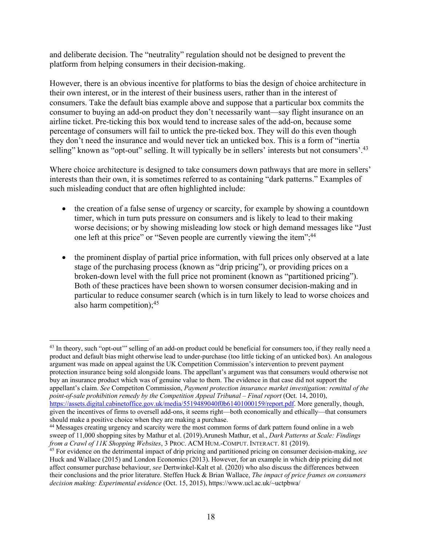and deliberate decision. The "neutrality" regulation should not be designed to prevent the platform from helping consumers in their decision-making.

However, there is an obvious incentive for platforms to bias the design of choice architecture in their own interest, or in the interest of their business users, rather than in the interest of consumers. Take the default bias example above and suppose that a particular box commits the consumer to buying an add-on product they don't necessarily want—say flight insurance on an airline ticket. Pre-ticking this box would tend to increase sales of the add-on, because some percentage of consumers will fail to untick the pre-ticked box. They will do this even though they don't need the insurance and would never tick an unticked box. This is a form of "inertia selling" known as "opt-out" selling. It will typically be in sellers' interests but not consumers'.<sup>43</sup>

Where choice architecture is designed to take consumers down pathways that are more in sellers' interests than their own, it is sometimes referred to as containing "dark patterns." Examples of such misleading conduct that are often highlighted include:

- the creation of a false sense of urgency or scarcity, for example by showing a countdown timer, which in turn puts pressure on consumers and is likely to lead to their making worse decisions; or by showing misleading low stock or high demand messages like "Just one left at this price" or "Seven people are currently viewing the item";<sup>44</sup>
- the prominent display of partial price information, with full prices only observed at a late stage of the purchasing process (known as "drip pricing"), or providing prices on a broken-down level with the full price not prominent (known as "partitioned pricing"). Both of these practices have been shown to worsen consumer decision-making and in particular to reduce consumer search (which is in turn likely to lead to worse choices and also harm competition); 45

<sup>&</sup>lt;sup>43</sup> In theory, such "opt-out" selling of an add-on product could be beneficial for consumers too, if they really need a product and default bias might otherwise lead to under-purchase (too little ticking of an unticked box). An analogous argument was made on appeal against the UK Competition Commission's intervention to prevent payment protection insurance being sold alongside loans. The appellant's argument was that consumers would otherwise not buy an insurance product which was of genuine value to them. The evidence in that case did not support the appellant's claim. *See* Competiton Commission, *Payment protection insurance market investigation: remittal of the point-of-sale prohibition remedy by the Competition Appeal Tribunal – Final report* (Oct. 14, 2010), https://assets.digital.cabinetoffice.gov.uk/media/5519489040f0b61401000159/report.pdf. More generally, though, given the incentives of firms to oversell add-ons, it seems right—both economically and ethically—that consumers

should make a positive choice when they are making a purchase.<br><sup>44</sup> Messages creating urgency and scarcity were the most common forms of dark pattern found online in a web sweep of 11,000 shopping sites by Mathur et al. (2019).Arunesh Mathur, et al., *Dark Patterns at Scale: Findings from a Crawl of 11K Shopping Websites*, 3 PROC. ACM HUM.-COMPUT. INTERACT. 81 (2019).

<sup>45</sup> For evidence on the detrimental impact of drip pricing and partitioned pricing on consumer decision-making, *see* Huck and Wallace (2015) and London Economics (2013). However, for an example in which drip pricing did not affect consumer purchase behaviour, *see* Dertwinkel-Kalt et al. (2020) who also discuss the differences between their conclusions and the prior literature. Steffen Huck & Brian Wallace, *The impact of price frames on consumers decision making: Experimental evidence* (Oct. 15, 2015), https://www.ucl.ac.uk/~uctpbwa/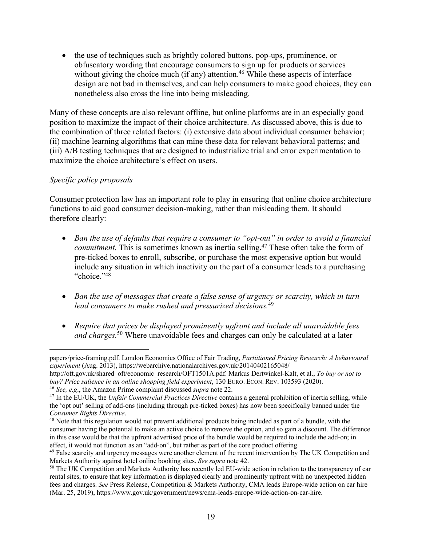• the use of techniques such as brightly colored buttons, pop-ups, prominence, or obfuscatory wording that encourage consumers to sign up for products or services without giving the choice much (if any) attention.<sup>46</sup> While these aspects of interface design are not bad in themselves, and can help consumers to make good choices, they can nonetheless also cross the line into being misleading.

Many of these concepts are also relevant offline, but online platforms are in an especially good position to maximize the impact of their choice architecture. As discussed above, this is due to the combination of three related factors: (i) extensive data about individual consumer behavior; (ii) machine learning algorithms that can mine these data for relevant behavioral patterns; and (iii) A/B testing techniques that are designed to industrialize trial and error experimentation to maximize the choice architecture's effect on users.

# *Specific policy proposals*

Consumer protection law has an important role to play in ensuring that online choice architecture functions to aid good consumer decision-making, rather than misleading them. It should therefore clearly:

- *Ban the use of defaults that require a consumer to "opt-out" in order to avoid a financial commitment*. This is sometimes known as inertia selling.<sup>47</sup> These often take the form of pre-ticked boxes to enroll, subscribe, or purchase the most expensive option but would include any situation in which inactivity on the part of a consumer leads to a purchasing "choice."<sup>48</sup>
- *Ban the use of messages that create a false sense of urgency or scarcity, which in turn lead consumers to make rushed and pressurized decisions.*<sup>49</sup>
- *Require that prices be displayed prominently upfront and include all unavoidable fees and charges.* <sup>50</sup> Where unavoidable fees and charges can only be calculated at a later

papers/price-framing.pdf. London Economics Office of Fair Trading, *Partiitioned Pricing Research: A behavioural experiment* (Aug. 2013), https://webarchive.nationalarchives.gov.uk/20140402165048/

http://oft.gov.uk/shared\_oft/economic\_research/OFT1501A.pdf. Markus Dertwinkel-Kalt, et al., *To buy or not to buy? Price salience in an online shopping field experiment*, 130 EURO. ECON. REV. 103593 (2020). 46 *See, e.g*., the Amazon Prime complaint discussed *supra* note 22.

<sup>47</sup> In the EU/UK, the *Unfair Commercial Practices Directive* contains a general prohibition of inertia selling, while the 'opt out' selling of add-ons (including through pre-ticked boxes) has now been specifically banned under the *Consumer Rights Directive*.

<sup>&</sup>lt;sup>48</sup> Note that this regulation would not prevent additional products being included as part of a bundle, with the consumer having the potential to make an active choice to remove the option, and so gain a discount. The difference in this case would be that the upfront advertised price of the bundle would be required to include the add-on; in effect, it would not function as an "add-on", but rather as part of the core product offering.

<sup>&</sup>lt;sup>49</sup> False scarcity and urgency messages were another element of the recent intervention by The UK Competition and Markets Authority against hotel online booking sites. *See supra* note 42.

<sup>&</sup>lt;sup>50</sup> The UK Competition and Markets Authority has recently led EU-wide action in relation to the transparency of car rental sites, to ensure that key information is displayed clearly and prominently upfront with no unexpected hidden fees and charges. *See* Press Release, Competition & Markets Authority, CMA leads Europe-wide action on car hire (Mar. 25, 2019), https://www.gov.uk/government/news/cma-leads-europe-wide-action-on-car-hire.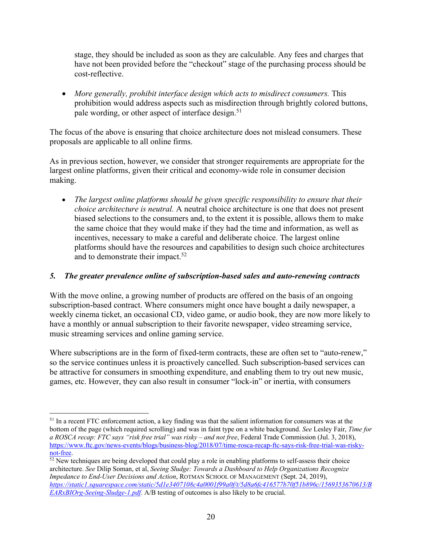stage, they should be included as soon as they are calculable. Any fees and charges that have not been provided before the "checkout" stage of the purchasing process should be cost-reflective.

• *More generally, prohibit interface design which acts to misdirect consumers.* This prohibition would address aspects such as misdirection through brightly colored buttons, pale wording, or other aspect of interface design.<sup>51</sup>

The focus of the above is ensuring that choice architecture does not mislead consumers. These proposals are applicable to all online firms.

As in previous section, however, we consider that stronger requirements are appropriate for the largest online platforms, given their critical and economy-wide role in consumer decision making.

• *The largest online platforms should be given specific responsibility to ensure that their choice architecture is neutral.* A neutral choice architecture is one that does not present biased selections to the consumers and, to the extent it is possible, allows them to make the same choice that they would make if they had the time and information, as well as incentives, necessary to make a careful and deliberate choice. The largest online platforms should have the resources and capabilities to design such choice architectures and to demonstrate their impact. 52

#### *5. The greater prevalence online of subscription-based sales and auto-renewing contracts*

With the move online, a growing number of products are offered on the basis of an ongoing subscription-based contract. Where consumers might once have bought a daily newspaper, a weekly cinema ticket, an occasional CD, video game, or audio book, they are now more likely to have a monthly or annual subscription to their favorite newspaper, video streaming service, music streaming services and online gaming service.

Where subscriptions are in the form of fixed-term contracts, these are often set to "auto-renew," so the service continues unless it is proactively cancelled. Such subscription-based services can be attractive for consumers in smoothing expenditure, and enabling them to try out new music, games, etc. However, they can also result in consumer "lock-in" or inertia, with consumers

<sup>&</sup>lt;sup>51</sup> In a recent FTC enforcement action, a key finding was that the salient information for consumers was at the bottom of the page (which required scrolling) and was in faint type on a white background. *See* Lesley Fair, *Time for a ROSCA recap: FTC says "risk free trial" was risky – and not free*, Federal Trade Commission (Jul. 3, 2018), https://www.ftc.gov/news-events/blogs/business-blog/2018/07/time-rosca-recap-ftc-says-risk-free-trial-was-riskynot-free.

<sup>&</sup>lt;sup>52</sup> New techniques are being developed that could play a role in enabling platforms to self-assess their choice architecture. *See* Dilip Soman, et al, *Seeing Sludge: Towards a Dashboard to Help Organizations Recognize Impedance to End-User Decisions and Action*, ROTMAN SCHOOL OF MANAGEMENT (Sept. 24, 2019), *https://static1.squarespace.com/static/5d1e3407108c4a0001f99a0f/t/5d8a6fc416577b70f51b896c/1569353670613/B EARxBIOrg-Seeing-Sludge-1.pdf*. A/B testing of outcomes is also likely to be crucial.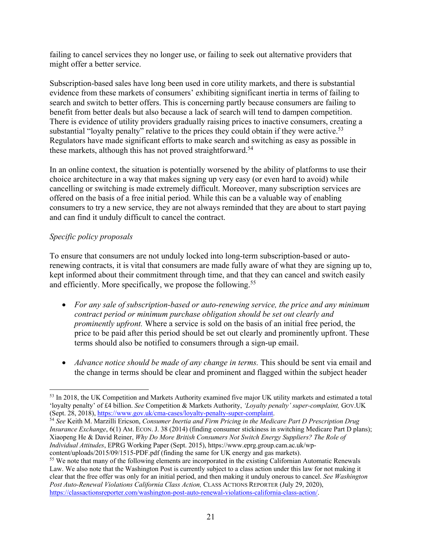failing to cancel services they no longer use, or failing to seek out alternative providers that might offer a better service.

Subscription-based sales have long been used in core utility markets, and there is substantial evidence from these markets of consumers' exhibiting significant inertia in terms of failing to search and switch to better offers. This is concerning partly because consumers are failing to benefit from better deals but also because a lack of search will tend to dampen competition. There is evidence of utility providers gradually raising prices to inactive consumers, creating a substantial "loyalty penalty" relative to the prices they could obtain if they were active.<sup>53</sup> Regulators have made significant efforts to make search and switching as easy as possible in these markets, although this has not proved straightforward.<sup>54</sup>

In an online context, the situation is potentially worsened by the ability of platforms to use their choice architecture in a way that makes signing up very easy (or even hard to avoid) while cancelling or switching is made extremely difficult. Moreover, many subscription services are offered on the basis of a free initial period. While this can be a valuable way of enabling consumers to try a new service, they are not always reminded that they are about to start paying and can find it unduly difficult to cancel the contract.

# *Specific policy proposals*

To ensure that consumers are not unduly locked into long-term subscription-based or autorenewing contracts, it is vital that consumers are made fully aware of what they are signing up to, kept informed about their commitment through time, and that they can cancel and switch easily and efficiently. More specifically, we propose the following.<sup>55</sup>

- *For any sale of subscription-based or auto-renewing service, the price and any minimum contract period or minimum purchase obligation should be set out clearly and prominently upfront.* Where a service is sold on the basis of an initial free period, the price to be paid after this period should be set out clearly and prominently upfront. These terms should also be notified to consumers through a sign-up email.
- *Advance notice should be made of any change in terms.* This should be sent via email and the change in terms should be clear and prominent and flagged within the subject header

<sup>53</sup> In 2018, the UK Competition and Markets Authority examined five major UK utility markets and estimated a total 'loyalty penalty' of £4 billion. *See* Competition & Markets Authority, *'Loyalty penalty' super-complaint,* GOV.UK

<sup>&</sup>lt;sup>54</sup> See Keith M. Marzilli Ericson, *Consumer Inertia and Firm Pricing in the Medicare Part D Prescription Drug Insurance Exchange*, 6(1) AM. ECON. J. 38 (2014) (finding consumer stickiness in switching Medicare Part D plans); Xiaopeng He & David Reiner, *Why Do More British Consumers Not Switch Energy Suppliers? The Role of Individual Attitudes*, EPRG Working Paper (Sept. 2015), https://www.eprg.group.cam.ac.uk/wp-

<sup>&</sup>lt;sup>55</sup> We note that many of the following elements are incorporated in the existing Californian Automatic Renewals Law. We also note that the Washington Post is currently subject to a class action under this law for not making it clear that the free offer was only for an initial period, and then making it unduly onerous to cancel. *See Washington Post Auto-Renewal Violations California Class Action,* CLASS ACTIONS REPORTER (July 29, 2020), https://classactionsreporter.com/washington-post-auto-renewal-violations-california-class-action/.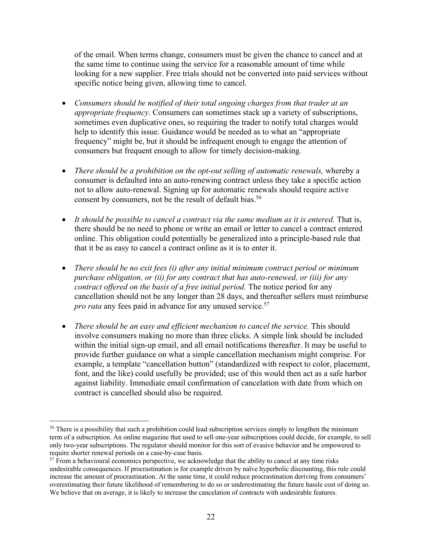of the email. When terms change, consumers must be given the chance to cancel and at the same time to continue using the service for a reasonable amount of time while looking for a new supplier. Free trials should not be converted into paid services without specific notice being given, allowing time to cancel.

- *Consumers should be notified of their total ongoing charges from that trader at an appropriate frequency.* Consumers can sometimes stack up a variety of subscriptions, sometimes even duplicative ones, so requiring the trader to notify total charges would help to identify this issue. Guidance would be needed as to what an "appropriate frequency" might be, but it should be infrequent enough to engage the attention of consumers but frequent enough to allow for timely decision-making.
- *There should be a prohibition on the opt-out selling of automatic renewals,* whereby a consumer is defaulted into an auto-renewing contract unless they take a specific action not to allow auto-renewal. Signing up for automatic renewals should require active consent by consumers, not be the result of default bias.<sup>56</sup>
- *It should be possible to cancel a contract via the same medium as it is entered.* That is, there should be no need to phone or write an email or letter to cancel a contract entered online. This obligation could potentially be generalized into a principle-based rule that that it be as easy to cancel a contract online as it is to enter it.
- *There should be no exit fees (i) after any initial minimum contract period or minimum purchase obligation, or (ii) for any contract that has auto-renewed, or (iii) for any contract offered on the basis of a free initial period.* The notice period for any cancellation should not be any longer than 28 days, and thereafter sellers must reimburse *pro rata* any fees paid in advance for any unused service. 57
- *There should be an easy and efficient mechanism to cancel the service.* This should involve consumers making no more than three clicks. A simple link should be included within the initial sign-up email, and all email notifications thereafter. It may be useful to provide further guidance on what a simple cancellation mechanism might comprise. For example, a template "cancellation button" (standardized with respect to color, placement, font, and the like) could usefully be provided; use of this would then act as a safe harbor against liability. Immediate email confirmation of cancelation with date from which on contract is cancelled should also be required.

<sup>&</sup>lt;sup>56</sup> There is a possibility that such a prohibition could lead subscription services simply to lengthen the minimum term of a subscription. An online magazine that used to sell one-year subscriptions could decide, for example, to sell only two-year subscriptions. The regulator should monitor for this sort of evasive behavior and be empowered to require shorter renewal periods on a case-by-case basis.<br><sup>57</sup> From a behavioural economics perspective, we acknowledge that the ability to cancel at any time risks

undesirable consequences. If procrastination is for example driven by naïve hyperbolic discounting, this rule could increase the amount of procrastination. At the same time, it could reduce procrastination deriving from consumers' overestimating their future likelihood of remembering to do so or underestimating the future hassle cost of doing so. We believe that on average, it is likely to increase the cancelation of contracts with undesirable features.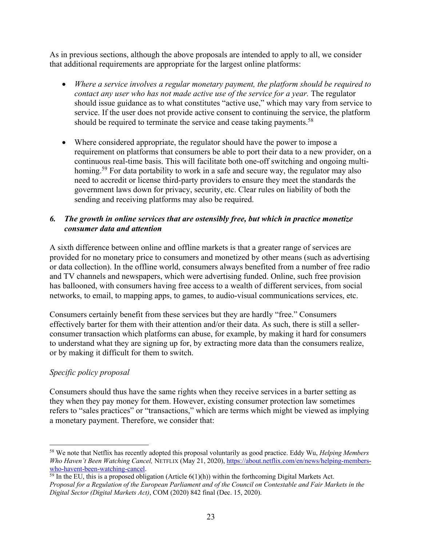As in previous sections, although the above proposals are intended to apply to all, we consider that additional requirements are appropriate for the largest online platforms:

- *Where a service involves a regular monetary payment, the platform should be required to contact any user who has not made active use of the service for a year.* The regulator should issue guidance as to what constitutes "active use," which may vary from service to service. If the user does not provide active consent to continuing the service, the platform should be required to terminate the service and cease taking payments.<sup>58</sup>
- Where considered appropriate, the regulator should have the power to impose a requirement on platforms that consumers be able to port their data to a new provider, on a continuous real-time basis. This will facilitate both one-off switching and ongoing multihoming.<sup>59</sup> For data portability to work in a safe and secure way, the regulator may also need to accredit or license third-party providers to ensure they meet the standards the government laws down for privacy, security, etc. Clear rules on liability of both the sending and receiving platforms may also be required.

# *6. The growth in online services that are ostensibly free, but which in practice monetize consumer data and attention*

A sixth difference between online and offline markets is that a greater range of services are provided for no monetary price to consumers and monetized by other means (such as advertising or data collection). In the offline world, consumers always benefited from a number of free radio and TV channels and newspapers, which were advertising funded. Online, such free provision has ballooned, with consumers having free access to a wealth of different services, from social networks, to email, to mapping apps, to games, to audio-visual communications services, etc.

Consumers certainly benefit from these services but they are hardly "free." Consumers effectively barter for them with their attention and/or their data. As such, there is still a sellerconsumer transaction which platforms can abuse, for example, by making it hard for consumers to understand what they are signing up for, by extracting more data than the consumers realize, or by making it difficult for them to switch.

# *Specific policy proposal*

Consumers should thus have the same rights when they receive services in a barter setting as they when they pay money for them. However, existing consumer protection law sometimes refers to "sales practices" or "transactions," which are terms which might be viewed as implying a monetary payment. Therefore, we consider that:

<sup>58</sup> We note that Netflix has recently adopted this proposal voluntarily as good practice. Eddy Wu, *Helping Members Who Haven't Been Watching Cancel,* NETFLIX (May 21, 2020), https://about.netflix.com/en/news/helping-memberswho-havent-been-watching-cancel.

 $\frac{59}{10}$  In the EU, this is a proposed obligation (Article 6(1)(h)) within the forthcoming Digital Markets Act. *Proposal for a Regulation of the European Parliament and of the Council on Contestable and Fair Markets in the Digital Sector (Digital Markets Act)*, COM (2020) 842 final (Dec. 15, 2020).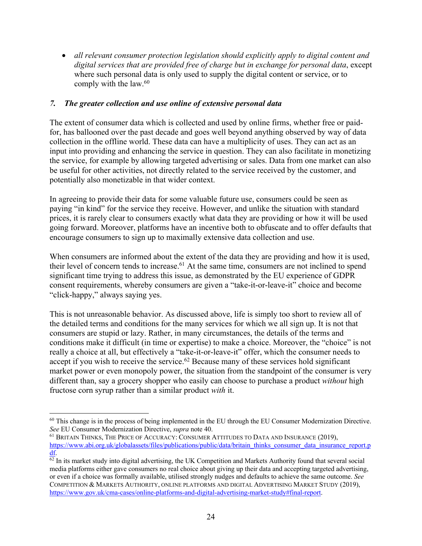• *all relevant consumer protection legislation should explicitly apply to digital content and digital services that are provided free of charge but in exchange for personal data*, except where such personal data is only used to supply the digital content or service, or to comply with the law.<sup>60</sup>

#### *7. The greater collection and use online of extensive personal data*

The extent of consumer data which is collected and used by online firms, whether free or paidfor, has ballooned over the past decade and goes well beyond anything observed by way of data collection in the offline world. These data can have a multiplicity of uses. They can act as an input into providing and enhancing the service in question. They can also facilitate in monetizing the service, for example by allowing targeted advertising or sales. Data from one market can also be useful for other activities, not directly related to the service received by the customer, and potentially also monetizable in that wider context.

In agreeing to provide their data for some valuable future use, consumers could be seen as paying "in kind" for the service they receive. However, and unlike the situation with standard prices, it is rarely clear to consumers exactly what data they are providing or how it will be used going forward. Moreover, platforms have an incentive both to obfuscate and to offer defaults that encourage consumers to sign up to maximally extensive data collection and use.

When consumers are informed about the extent of the data they are providing and how it is used, their level of concern tends to increase.<sup>61</sup> At the same time, consumers are not inclined to spend significant time trying to address this issue, as demonstrated by the EU experience of GDPR consent requirements, whereby consumers are given a "take-it-or-leave-it" choice and become "click-happy," always saying yes.

This is not unreasonable behavior. As discussed above, life is simply too short to review all of the detailed terms and conditions for the many services for which we all sign up. It is not that consumers are stupid or lazy. Rather, in many circumstances, the details of the terms and conditions make it difficult (in time or expertise) to make a choice. Moreover, the "choice" is not really a choice at all, but effectively a "take-it-or-leave-it" offer, which the consumer needs to accept if you wish to receive the service. $62$  Because many of these services hold significant market power or even monopoly power, the situation from the standpoint of the consumer is very different than, say a grocery shopper who easily can choose to purchase a product *without* high fructose corn syrup rather than a similar product *with* it.

<sup>&</sup>lt;sup>60</sup> This change is in the process of being implemented in the EU through the EU Consumer Modernization Directive. *See* EU Consumer Modernization Directive, *supra* note 40.

<sup>&</sup>lt;sup>61</sup> BRITAIN THINKS, THE PRICE OF ACCURACY: CONSUMER ATTITUDES TO DATA AND INSURANCE (2019), https://www.abi.org.uk/globalassets/files/publications/public/data/britain\_thinks\_consumer\_data\_insurance\_report.p df.

 $\frac{62}{2}$  In its market study into digital advertising, the UK Competition and Markets Authority found that several social media platforms either gave consumers no real choice about giving up their data and accepting targeted advertising, or even if a choice was formally available, utilised strongly nudges and defaults to achieve the same outcome. *See* COMPETITION & MARKETS AUTHORITY, ONLINE PLATFORMS AND DIGITAL ADVERTISING MARKET STUDY (2019), https://www.gov.uk/cma-cases/online-platforms-and-digital-advertising-market-study#final-report.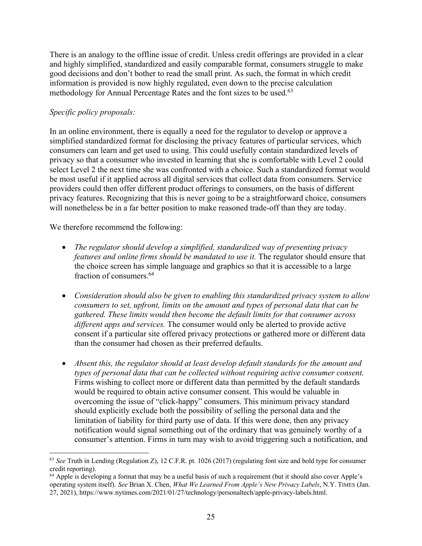There is an analogy to the offline issue of credit. Unless credit offerings are provided in a clear and highly simplified, standardized and easily comparable format, consumers struggle to make good decisions and don't bother to read the small print. As such, the format in which credit information is provided is now highly regulated, even down to the precise calculation methodology for Annual Percentage Rates and the font sizes to be used.<sup>63</sup>

#### *Specific policy proposals:*

In an online environment, there is equally a need for the regulator to develop or approve a simplified standardized format for disclosing the privacy features of particular services, which consumers can learn and get used to using. This could usefully contain standardized levels of privacy so that a consumer who invested in learning that she is comfortable with Level 2 could select Level 2 the next time she was confronted with a choice. Such a standardized format would be most useful if it applied across all digital services that collect data from consumers. Service providers could then offer different product offerings to consumers, on the basis of different privacy features. Recognizing that this is never going to be a straightforward choice, consumers will nonetheless be in a far better position to make reasoned trade-off than they are today.

We therefore recommend the following:

- *The regulator should develop a simplified, standardized way of presenting privacy features and online firms should be mandated to use it.* The regulator should ensure that the choice screen has simple language and graphics so that it is accessible to a large fraction of consumers.64
- *Consideration should also be given to enabling this standardized privacy system to allow consumers to set, upfront, limits on the amount and types of personal data that can be gathered. These limits would then become the default limits for that consumer across different apps and services.* The consumer would only be alerted to provide active consent if a particular site offered privacy protections or gathered more or different data than the consumer had chosen as their preferred defaults.
- *Absent this, the regulator should at least develop default standards for the amount and types of personal data that can be collected without requiring active consumer consent.* Firms wishing to collect more or different data than permitted by the default standards would be required to obtain active consumer consent. This would be valuable in overcoming the issue of "click-happy" consumers. This minimum privacy standard should explicitly exclude both the possibility of selling the personal data and the limitation of liability for third party use of data. If this were done, then any privacy notification would signal something out of the ordinary that was genuinely worthy of a consumer's attention. Firms in turn may wish to avoid triggering such a notification, and

<sup>63</sup> *See* Truth in Lending (Regulation Z), 12 C.F.R. pt. 1026 (2017) (regulating font size and bold type for consumer credit reporting).

 $64$  Apple is developing a format that may be a useful basis of such a requirement (but it should also cover Apple's operating system itself). *See* Brian X. Chen, *What We Learned From Apple's New Privacy Labels*, N.Y. TIMES (Jan. 27, 2021), https://www.nytimes.com/2021/01/27/technology/personaltech/apple-privacy-labels.html.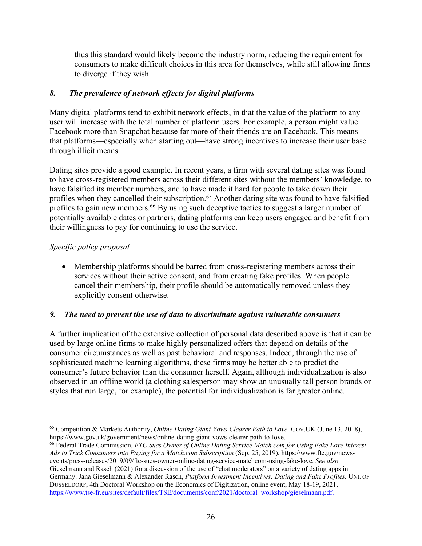thus this standard would likely become the industry norm, reducing the requirement for consumers to make difficult choices in this area for themselves, while still allowing firms to diverge if they wish.

# *8. The prevalence of network effects for digital platforms*

Many digital platforms tend to exhibit network effects, in that the value of the platform to any user will increase with the total number of platform users. For example, a person might value Facebook more than Snapchat because far more of their friends are on Facebook. This means that platforms—especially when starting out—have strong incentives to increase their user base through illicit means.

Dating sites provide a good example. In recent years, a firm with several dating sites was found to have cross-registered members across their different sites without the members' knowledge, to have falsified its member numbers, and to have made it hard for people to take down their profiles when they cancelled their subscription.<sup>65</sup> Another dating site was found to have falsified profiles to gain new members.<sup>66</sup> By using such deceptive tactics to suggest a larger number of potentially available dates or partners, dating platforms can keep users engaged and benefit from their willingness to pay for continuing to use the service.

# *Specific policy proposal*

• Membership platforms should be barred from cross-registering members across their services without their active consent, and from creating fake profiles. When people cancel their membership, their profile should be automatically removed unless they explicitly consent otherwise.

#### *9. The need to prevent the use of data to discriminate against vulnerable consumers*

A further implication of the extensive collection of personal data described above is that it can be used by large online firms to make highly personalized offers that depend on details of the consumer circumstances as well as past behavioral and responses. Indeed, through the use of sophisticated machine learning algorithms, these firms may be better able to predict the consumer's future behavior than the consumer herself. Again, although individualization is also observed in an offline world (a clothing salesperson may show an unusually tall person brands or styles that run large, for example), the potential for individualization is far greater online.

<sup>65</sup> Competition & Markets Authority, *Online Dating Giant Vows Clearer Path to Love,* GOV.UK (June 13, 2018), https://www.gov.uk/government/news/online-dating-giant-vows-clearer-path-to-love.

<sup>66</sup> Federal Trade Commission, *FTC Sues Owner of Online Dating Service Match.com for Using Fake Love Interest Ads to Trick Consumers into Paying for a Match.com Subscription* (Sep. 25, 2019), https://www.ftc.gov/newsevents/press-releases/2019/09/ftc-sues-owner-online-dating-service-matchcom-using-fake-love. *See also* Gieselmann and Rasch (2021) for a discussion of the use of "chat moderators" on a variety of dating apps in Germany. Jana Gieselmann & Alexander Rasch, *Platform Investment Incentives: Dating and Fake Profiles,* UNI. OF DUSSELDORF, 4th Doctoral Workshop on the Economics of Digitization, online event, May 18-19, 2021, https://www.tse-fr.eu/sites/default/files/TSE/documents/conf/2021/doctoral\_workshop/gieselmann.pdf.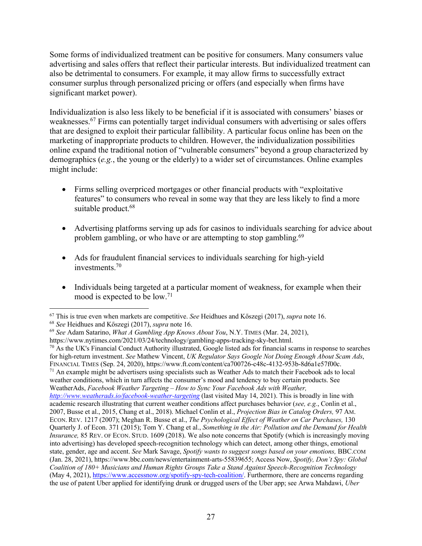Some forms of individualized treatment can be positive for consumers. Many consumers value advertising and sales offers that reflect their particular interests. But individualized treatment can also be detrimental to consumers. For example, it may allow firms to successfully extract consumer surplus through personalized pricing or offers (and especially when firms have significant market power).

Individualization is also less likely to be beneficial if it is associated with consumers' biases or weaknesses. <sup>67</sup> Firms can potentially target individual consumers with advertising or sales offers that are designed to exploit their particular fallibility. A particular focus online has been on the marketing of inappropriate products to children. However, the individualization possibilities online expand the traditional notion of "vulnerable consumers" beyond a group characterized by demographics (*e.g.*, the young or the elderly) to a wider set of circumstances. Online examples might include:

- Firms selling overpriced mortgages or other financial products with "exploitative features" to consumers who reveal in some way that they are less likely to find a more suitable product.<sup>68</sup>
- Advertising platforms serving up ads for casinos to individuals searching for advice about problem gambling, or who have or are attempting to stop gambling.<sup>69</sup>
- Ads for fraudulent financial services to individuals searching for high-yield investments. 70
- Individuals being targeted at a particular moment of weakness, for example when their mood is expected to be low. 71

https://www.nytimes.com/2021/03/24/technology/gambling-apps-tracking-sky-bet.html.<br><sup>70</sup> As the UK's Financial Conduct Authority illustrated, Google listed ads for financial scams in response to searches for high-return investment. *See* Mathew Vincent, *UK Regulator Says Google Not Doing Enough About Scam Ads*, FINANCIAL TIMES (Sep. 24, 2020), https://www.ft.com/content/ca700726-c48c-4132-953b-8d6a1e57f00c. <sup>71</sup> An example might be advertisers using specialists such as Weather Ads to match their Facebook ads to local weather conditions, which in turn affects the consumer's mood and tendency to buy certain products. See WeatherAds, *Facebook Weather Targeting – How to Sync Your Facebook Ads with Weather, http://www.weatherads.io/facebook-weather-targeting* (last visited May 14, 2021). This is broadly in line with academic research illustrating that current weather conditions affect purchases behavior (*see, e.g.*, Conlin et al., 2007, Busse et al., 2015, Chang et al., 2018). Michael Conlin et al., *Projection Bias in Catalog Orders,* 97 AM. ECON. REV. 1217 (2007); Meghan R. Busse et al., *The Psychological Effect of Weather on Car Purchases,* 130 Quarterly J. of Econ. 371 (2015); Tom Y. Chang et al., *Something in the Air: Pollution and the Demand for Health Insurance,* 85 REV. OF ECON. STUD. 1609 (2018). We also note concerns that Spotify (which is increasingly moving into advertising) has developed speech-recognition technology which can detect, among other things, emotional state, gender, age and accent. *See* Mark Savage, *Spotify wants to suggest songs based on your emotions,* BBC.COM (Jan. 28, 2021), https://www.bbc.com/news/entertainment-arts-55839655; Access Now, *Spotify, Don't Spy: Global Coalition of 180+ Musicians and Human Rights Groups Take a Stand Against Speech-Recognition Technology* (May 4, 2021), https://www.accessnow.org/spotify-spy-tech-coalition/. Furthermore, there are concerns regarding the use of patent Uber applied for identifying drunk or drugged users of the Uber app; see Arwa Mahdawi, *Uber* 

<sup>67</sup> This is true even when markets are competitive. *See* Heidhues and Kőszegi (2017), *supra* note 16.

<sup>68</sup> *See* Heidhues and Kőszegi (2017), *supra* note 16.

<sup>69</sup> *See* Adam Satarino, *What A Gambling App Knows About You*, N.Y. TIMES (Mar. 24, 2021),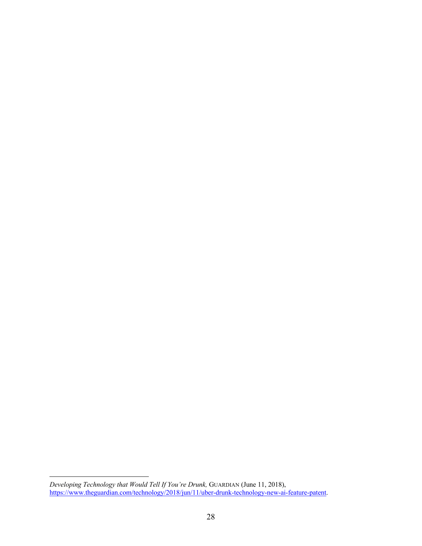*Developing Technology that Would Tell If You're Drunk,* GUARDIAN (June 11, 2018), https://www.theguardian.com/technology/2018/jun/11/uber-drunk-technology-new-ai-feature-patent.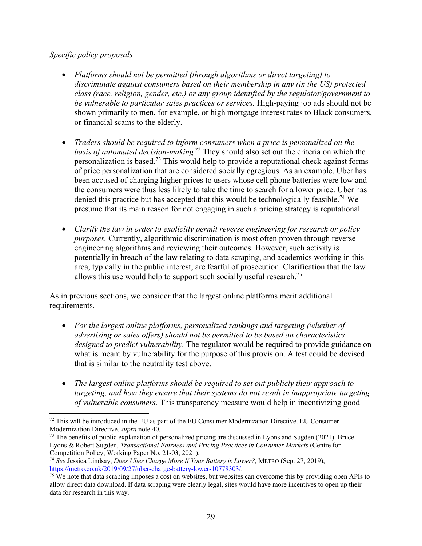#### *Specific policy proposals*

- *Platforms should not be permitted (through algorithms or direct targeting) to discriminate against consumers based on their membership in any (in the US) protected class (race, religion, gender, etc.) or any group identified by the regulator/government to be vulnerable to particular sales practices or services.* High-paying job ads should not be shown primarily to men, for example, or high mortgage interest rates to Black consumers, or financial scams to the elderly.
- *Traders should be required to inform consumers when a price is personalized on the basis of automated decision-making <sup>72</sup>* They should also set out the criteria on which the personalization is based.73 This would help to provide a reputational check against forms of price personalization that are considered socially egregious. As an example, Uber has been accused of charging higher prices to users whose cell phone batteries were low and the consumers were thus less likely to take the time to search for a lower price. Uber has denied this practice but has accepted that this would be technologically feasible. <sup>74</sup> We presume that its main reason for not engaging in such a pricing strategy is reputational.
- *Clarify the law in order to explicitly permit reverse engineering for research or policy purposes.* Currently, algorithmic discrimination is most often proven through reverse engineering algorithms and reviewing their outcomes. However, such activity is potentially in breach of the law relating to data scraping, and academics working in this area, typically in the public interest, are fearful of prosecution. Clarification that the law allows this use would help to support such socially useful research.<sup>75</sup>

As in previous sections, we consider that the largest online platforms merit additional requirements.

- *For the largest online platforms, personalized rankings and targeting (whether of advertising or sales offers) should not be permitted to be based on characteristics designed to predict vulnerability.* The regulator would be required to provide guidance on what is meant by vulnerability for the purpose of this provision. A test could be devised that is similar to the neutrality test above.
- *The largest online platforms should be required to set out publicly their approach to targeting, and how they ensure that their systems do not result in inappropriate targeting of vulnerable consumers.* This transparency measure would help in incentivizing good

<sup>&</sup>lt;sup>72</sup> This will be introduced in the EU as part of the EU Consumer Modernization Directive. EU Consumer Modernization Directive, *supra* note 40.

<sup>&</sup>lt;sup>73</sup> The benefits of public explanation of personalized pricing are discussed in Lyons and Sugden (2021). Bruce Lyons & Robert Sugden, *Transactional Fairness and Pricing Practices in Consumer Markets* (Centre for Competition Policy, Working Paper No. 21-03, 2021).

<sup>74</sup> *See* Jessica Lindsay, *Does Uber Charge More If Your Battery is Lower?,* METRO (Sep. 27, 2019), https://metro.co.uk/2019/09/27/uber-charge-battery-lower-10778303/.

 $\frac{75}{15}$  We note that data scraping imposes a cost on websites, but websites can overcome this by providing open APIs to allow direct data download. If data scraping were clearly legal, sites would have more incentives to open up their data for research in this way.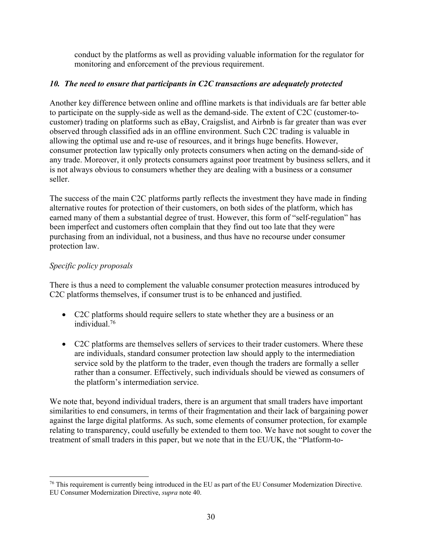conduct by the platforms as well as providing valuable information for the regulator for monitoring and enforcement of the previous requirement.

# *10. The need to ensure that participants in C2C transactions are adequately protected*

Another key difference between online and offline markets is that individuals are far better able to participate on the supply-side as well as the demand-side. The extent of C2C (customer-tocustomer) trading on platforms such as eBay, Craigslist, and Airbnb is far greater than was ever observed through classified ads in an offline environment. Such C2C trading is valuable in allowing the optimal use and re-use of resources, and it brings huge benefits. However, consumer protection law typically only protects consumers when acting on the demand-side of any trade. Moreover, it only protects consumers against poor treatment by business sellers, and it is not always obvious to consumers whether they are dealing with a business or a consumer seller.

The success of the main C2C platforms partly reflects the investment they have made in finding alternative routes for protection of their customers, on both sides of the platform, which has earned many of them a substantial degree of trust. However, this form of "self-regulation" has been imperfect and customers often complain that they find out too late that they were purchasing from an individual, not a business, and thus have no recourse under consumer protection law.

# *Specific policy proposals*

There is thus a need to complement the valuable consumer protection measures introduced by C2C platforms themselves, if consumer trust is to be enhanced and justified.

- C2C platforms should require sellers to state whether they are a business or an individual. 76
- C2C platforms are themselves sellers of services to their trader customers. Where these are individuals, standard consumer protection law should apply to the intermediation service sold by the platform to the trader, even though the traders are formally a seller rather than a consumer. Effectively, such individuals should be viewed as consumers of the platform's intermediation service.

We note that, beyond individual traders, there is an argument that small traders have important similarities to end consumers, in terms of their fragmentation and their lack of bargaining power against the large digital platforms. As such, some elements of consumer protection, for example relating to transparency, could usefully be extended to them too. We have not sought to cover the treatment of small traders in this paper, but we note that in the EU/UK, the "Platform-to-

<sup>&</sup>lt;sup>76</sup> This requirement is currently being introduced in the EU as part of the EU Consumer Modernization Directive. EU Consumer Modernization Directive, *supra* note 40.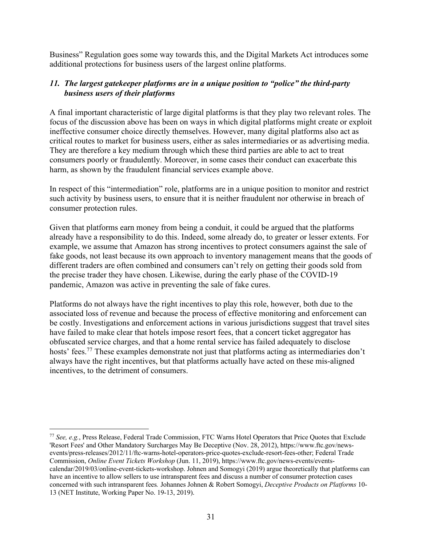Business" Regulation goes some way towards this, and the Digital Markets Act introduces some additional protections for business users of the largest online platforms.

#### *11. The largest gatekeeper platforms are in a unique position to "police" the third-party business users of their platforms*

A final important characteristic of large digital platforms is that they play two relevant roles. The focus of the discussion above has been on ways in which digital platforms might create or exploit ineffective consumer choice directly themselves. However, many digital platforms also act as critical routes to market for business users, either as sales intermediaries or as advertising media. They are therefore a key medium through which these third parties are able to act to treat consumers poorly or fraudulently. Moreover, in some cases their conduct can exacerbate this harm, as shown by the fraudulent financial services example above.

In respect of this "intermediation" role, platforms are in a unique position to monitor and restrict such activity by business users, to ensure that it is neither fraudulent nor otherwise in breach of consumer protection rules.

Given that platforms earn money from being a conduit, it could be argued that the platforms already have a responsibility to do this. Indeed, some already do, to greater or lesser extents. For example, we assume that Amazon has strong incentives to protect consumers against the sale of fake goods, not least because its own approach to inventory management means that the goods of different traders are often combined and consumers can't rely on getting their goods sold from the precise trader they have chosen. Likewise, during the early phase of the COVID-19 pandemic, Amazon was active in preventing the sale of fake cures.

Platforms do not always have the right incentives to play this role, however, both due to the associated loss of revenue and because the process of effective monitoring and enforcement can be costly. Investigations and enforcement actions in various jurisdictions suggest that travel sites have failed to make clear that hotels impose resort fees, that a concert ticket aggregator has obfuscated service charges, and that a home rental service has failed adequately to disclose hosts' fees.77 These examples demonstrate not just that platforms acting as intermediaries don't always have the right incentives, but that platforms actually have acted on these mis-aligned incentives, to the detriment of consumers.

<sup>77</sup> *See, e.g.*, Press Release, Federal Trade Commission, FTC Warns Hotel Operators that Price Quotes that Exclude 'Resort Fees' and Other Mandatory Surcharges May Be Deceptive (Nov. 28, 2012), https://www.ftc.gov/newsevents/press-releases/2012/11/ftc-warns-hotel-operators-price-quotes-exclude-resort-fees-other; Federal Trade Commission, *Online Event Tickets Workshop* (Jun. 11, 2019), https://www.ftc.gov/news-events/eventscalendar/2019/03/online-event-tickets-workshop. Johnen and Somogyi (2019) argue theoretically that platforms can have an incentive to allow sellers to use intransparent fees and discuss a number of consumer protection cases concerned with such intransparent fees*.* Johannes Johnen & Robert Somogyi, *Deceptive Products on Platforms* 10- 13 (NET Institute, Working Paper No. 19-13, 2019).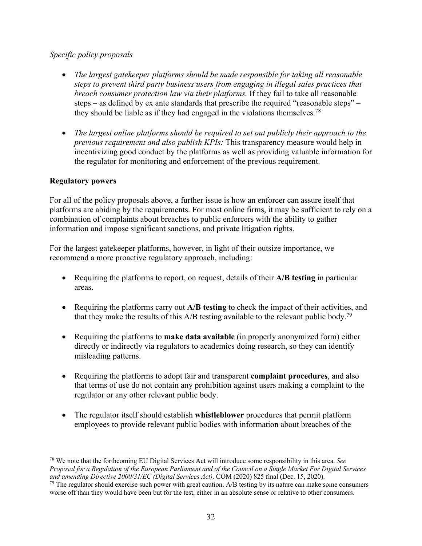# *Specific policy proposals*

- *The largest gatekeeper platforms should be made responsible for taking all reasonable steps to prevent third party business users from engaging in illegal sales practices that breach consumer protection law via their platforms.* If they fail to take all reasonable steps – as defined by ex ante standards that prescribe the required "reasonable steps" – they should be liable as if they had engaged in the violations themselves.<sup>78</sup>
- *The largest online platforms should be required to set out publicly their approach to the previous requirement and also publish KPIs:* This transparency measure would help in incentivizing good conduct by the platforms as well as providing valuable information for the regulator for monitoring and enforcement of the previous requirement.

# **Regulatory powers**

For all of the policy proposals above, a further issue is how an enforcer can assure itself that platforms are abiding by the requirements. For most online firms, it may be sufficient to rely on a combination of complaints about breaches to public enforcers with the ability to gather information and impose significant sanctions, and private litigation rights.

For the largest gatekeeper platforms, however, in light of their outsize importance, we recommend a more proactive regulatory approach, including:

- Requiring the platforms to report, on request, details of their **A/B testing** in particular areas.
- Requiring the platforms carry out **A/B testing** to check the impact of their activities, and that they make the results of this  $A/B$  testing available to the relevant public body.<sup>79</sup>
- Requiring the platforms to **make data available** (in properly anonymized form) either directly or indirectly via regulators to academics doing research, so they can identify misleading patterns.
- Requiring the platforms to adopt fair and transparent **complaint procedures**, and also that terms of use do not contain any prohibition against users making a complaint to the regulator or any other relevant public body.
- The regulator itself should establish **whistleblower** procedures that permit platform employees to provide relevant public bodies with information about breaches of the

<sup>78</sup> We note that the forthcoming EU Digital Services Act will introduce some responsibility in this area. *See Proposal for a Regulation of the European Parliament and of the Council on a Single Market For Digital Services and amending Directive 2000/31/EC (Digital Services Act),* COM (2020) 825 final (Dec. 15, 2020).<br><sup>79</sup> The regulator should exercise such power with great caution. A/B testing by its nature can make some consumers

worse off than they would have been but for the test, either in an absolute sense or relative to other consumers.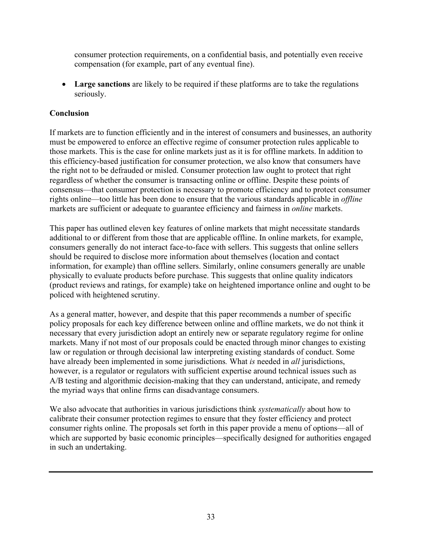consumer protection requirements, on a confidential basis, and potentially even receive compensation (for example, part of any eventual fine).

• **Large sanctions** are likely to be required if these platforms are to take the regulations seriously.

# **Conclusion**

If markets are to function efficiently and in the interest of consumers and businesses, an authority must be empowered to enforce an effective regime of consumer protection rules applicable to those markets. This is the case for online markets just as it is for offline markets. In addition to this efficiency-based justification for consumer protection, we also know that consumers have the right not to be defrauded or misled. Consumer protection law ought to protect that right regardless of whether the consumer is transacting online or offline. Despite these points of consensus—that consumer protection is necessary to promote efficiency and to protect consumer rights online—too little has been done to ensure that the various standards applicable in *offline* markets are sufficient or adequate to guarantee efficiency and fairness in *online* markets.

This paper has outlined eleven key features of online markets that might necessitate standards additional to or different from those that are applicable offline. In online markets, for example, consumers generally do not interact face-to-face with sellers. This suggests that online sellers should be required to disclose more information about themselves (location and contact information, for example) than offline sellers. Similarly, online consumers generally are unable physically to evaluate products before purchase. This suggests that online quality indicators (product reviews and ratings, for example) take on heightened importance online and ought to be policed with heightened scrutiny.

As a general matter, however, and despite that this paper recommends a number of specific policy proposals for each key difference between online and offline markets, we do not think it necessary that every jurisdiction adopt an entirely new or separate regulatory regime for online markets. Many if not most of our proposals could be enacted through minor changes to existing law or regulation or through decisional law interpreting existing standards of conduct. Some have already been implemented in some jurisdictions*.* What *is* needed in *all* jurisdictions, however, is a regulator or regulators with sufficient expertise around technical issues such as A/B testing and algorithmic decision-making that they can understand, anticipate, and remedy the myriad ways that online firms can disadvantage consumers.

We also advocate that authorities in various jurisdictions think *systematically* about how to calibrate their consumer protection regimes to ensure that they foster efficiency and protect consumer rights online. The proposals set forth in this paper provide a menu of options—all of which are supported by basic economic principles—specifically designed for authorities engaged in such an undertaking.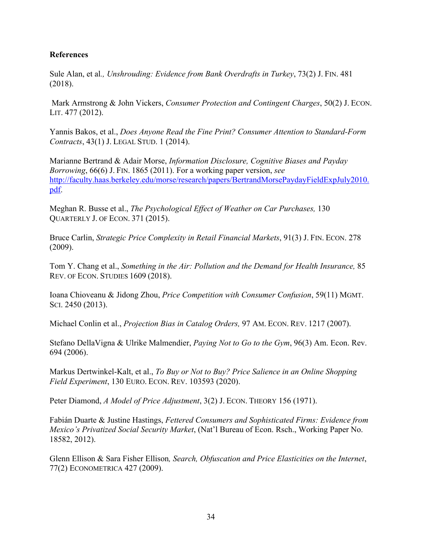#### **References**

Sule Alan, et al*., Unshrouding: Evidence from Bank Overdrafts in Turkey*, 73(2) J. FIN. 481 (2018).

Mark Armstrong & John Vickers, *Consumer Protection and Contingent Charges*, 50(2) J. ECON. LIT. 477 (2012).

Yannis Bakos, et al., *Does Anyone Read the Fine Print? Consumer Attention to Standard-Form Contracts*, 43(1) J. LEGAL STUD. 1 (2014).

Marianne Bertrand & Adair Morse, *Information Disclosure, Cognitive Biases and Payday Borrowing*, 66(6) J. FIN. 1865 (2011). For a working paper version, *see* http://faculty.haas.berkeley.edu/morse/research/papers/BertrandMorsePaydayFieldExpJuly2010. pdf.

Meghan R. Busse et al., *The Psychological Effect of Weather on Car Purchases,* 130 QUARTERLY J. OF ECON. 371 (2015).

Bruce Carlin, *Strategic Price Complexity in Retail Financial Markets*, 91(3) J. FIN. ECON. 278 (2009).

Tom Y. Chang et al., *Something in the Air: Pollution and the Demand for Health Insurance,* 85 REV. OF ECON. STUDIES 1609 (2018).

Ioana Chioveanu & Jidong Zhou, *Price Competition with Consumer Confusion*, 59(11) MGMT. SCI. 2450 (2013).

Michael Conlin et al., *Projection Bias in Catalog Orders,* 97 AM. ECON. REV. 1217 (2007).

Stefano DellaVigna & Ulrike Malmendier, *Paying Not to Go to the Gym*, 96(3) Am. Econ. Rev. 694 (2006).

Markus Dertwinkel-Kalt, et al., *To Buy or Not to Buy? Price Salience in an Online Shopping Field Experiment*, 130 EURO. ECON. REV. 103593 (2020).

Peter Diamond, *A Model of Price Adjustment*, 3(2) J. ECON. THEORY 156 (1971).

Fabián Duarte & Justine Hastings, *Fettered Consumers and Sophisticated Firms: Evidence from Mexico's Privatized Social Security Market*, (Nat'l Bureau of Econ. Rsch., Working Paper No. 18582, 2012).

Glenn Ellison & Sara Fisher Ellison*, Search, Obfuscation and Price Elasticities on the Internet*, 77(2) ECONOMETRICA 427 (2009).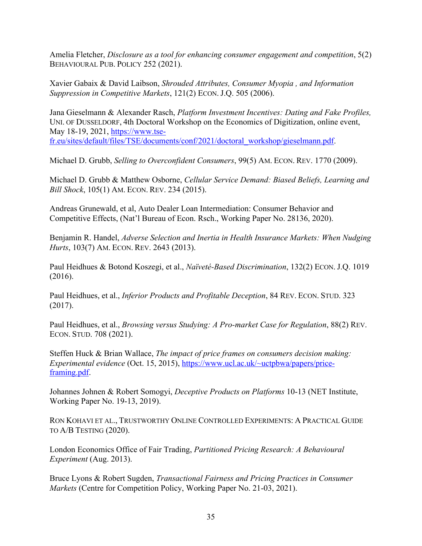Amelia Fletcher, *Disclosure as a tool for enhancing consumer engagement and competition*, 5(2) BEHAVIOURAL PUB. POLICY 252 (2021).

Xavier Gabaix & David Laibson, *Shrouded Attributes, Consumer Myopia , and Information Suppression in Competitive Markets*, 121(2) ECON. J.Q. 505 (2006).

Jana Gieselmann & Alexander Rasch, *Platform Investment Incentives: Dating and Fake Profiles,*  UNI. OF DUSSELDORF, 4th Doctoral Workshop on the Economics of Digitization, online event, May 18-19, 2021, https://www.tsefr.eu/sites/default/files/TSE/documents/conf/2021/doctoral\_workshop/gieselmann.pdf.

Michael D. Grubb, *Selling to Overconfident Consumers*, 99(5) AM. ECON. REV. 1770 (2009).

Michael D. Grubb & Matthew Osborne, *Cellular Service Demand: Biased Beliefs, Learning and Bill Shock*, 105(1) AM. ECON. REV. 234 (2015).

Andreas Grunewald, et al, Auto Dealer Loan Intermediation: Consumer Behavior and Competitive Effects, (Nat'l Bureau of Econ. Rsch., Working Paper No. 28136, 2020).

Benjamin R. Handel, *Adverse Selection and Inertia in Health Insurance Markets: When Nudging Hurts*, 103(7) AM. ECON. REV. 2643 (2013).

Paul Heidhues & Botond Koszegi, et al., *Naïveté-Based Discrimination*, 132(2) ECON. J.Q. 1019 (2016).

Paul Heidhues, et al., *Inferior Products and Profitable Deception*, 84 REV. ECON. STUD. 323 (2017).

Paul Heidhues, et al., *Browsing versus Studying: A Pro-market Case for Regulation*, 88(2) REV. ECON. STUD. 708 (2021).

Steffen Huck & Brian Wallace, *The impact of price frames on consumers decision making: Experimental evidence* (Oct. 15, 2015), https://www.ucl.ac.uk/~uctpbwa/papers/priceframing.pdf.

Johannes Johnen & Robert Somogyi, *Deceptive Products on Platforms* 10-13 (NET Institute, Working Paper No. 19-13, 2019).

RON KOHAVI ET AL., TRUSTWORTHY ONLINE CONTROLLED EXPERIMENTS: A PRACTICAL GUIDE TO A/B TESTING (2020).

London Economics Office of Fair Trading, *Partitioned Pricing Research: A Behavioural Experiment* (Aug. 2013).

Bruce Lyons & Robert Sugden, *Transactional Fairness and Pricing Practices in Consumer Markets* (Centre for Competition Policy, Working Paper No. 21-03, 2021).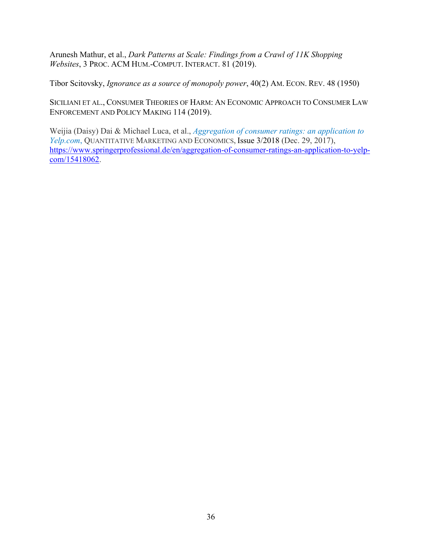Arunesh Mathur, et al., *Dark Patterns at Scale: Findings from a Crawl of 11K Shopping Websites*, 3 PROC. ACM HUM.-COMPUT. INTERACT. 81 (2019).

Tibor Scitovsky, *Ignorance as a source of monopoly power*, 40(2) AM. ECON. REV. 48 (1950)

SICILIANI ET AL., CONSUMER THEORIES OF HARM: AN ECONOMIC APPROACH TO CONSUMER LAW ENFORCEMENT AND POLICY MAKING 114 (2019).

Weijia (Daisy) Dai & Michael Luca, et al., *Aggregation of consumer ratings: an application to Yelp.com*, QUANTITATIVE MARKETING AND ECONOMICS, Issue 3/2018 (Dec. 29, 2017), https://www.springerprofessional.de/en/aggregation-of-consumer-ratings-an-application-to-yelpcom/15418062.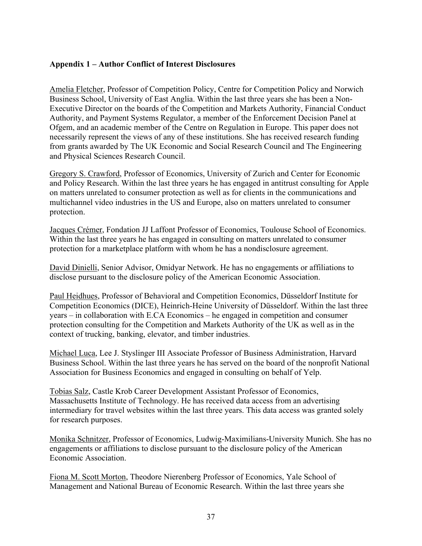#### **Appendix 1 – Author Conflict of Interest Disclosures**

Amelia Fletcher, Professor of Competition Policy, Centre for Competition Policy and Norwich Business School, University of East Anglia. Within the last three years she has been a Non-Executive Director on the boards of the Competition and Markets Authority, Financial Conduct Authority, and Payment Systems Regulator, a member of the Enforcement Decision Panel at Ofgem, and an academic member of the Centre on Regulation in Europe. This paper does not necessarily represent the views of any of these institutions. She has received research funding from grants awarded by The UK Economic and Social Research Council and The Engineering and Physical Sciences Research Council.

Gregory S. Crawford, Professor of Economics, University of Zurich and Center for Economic and Policy Research. Within the last three years he has engaged in antitrust consulting for Apple on matters unrelated to consumer protection as well as for clients in the communications and multichannel video industries in the US and Europe, also on matters unrelated to consumer protection.

Jacques Crémer, Fondation JJ Laffont Professor of Economics, Toulouse School of Economics. Within the last three years he has engaged in consulting on matters unrelated to consumer protection for a marketplace platform with whom he has a nondisclosure agreement.

David Dinielli, Senior Advisor, Omidyar Network. He has no engagements or affiliations to disclose pursuant to the disclosure policy of the American Economic Association.

Paul Heidhues, Professor of Behavioral and Competition Economics, Düsseldorf Institute for Competition Economics (DICE), Heinrich-Heine University of Düsseldorf. Within the last three years – in collaboration with E.CA Economics – he engaged in competition and consumer protection consulting for the Competition and Markets Authority of the UK as well as in the context of trucking, banking, elevator, and timber industries.

Michael Luca, Lee J. Styslinger III Associate Professor of Business Administration, Harvard Business School. Within the last three years he has served on the board of the nonprofit National Association for Business Economics and engaged in consulting on behalf of Yelp.

Tobias Salz, Castle Krob Career Development Assistant Professor of Economics, Massachusetts Institute of Technology. He has received data access from an advertising intermediary for travel websites within the last three years. This data access was granted solely for research purposes.

Monika Schnitzer, Professor of Economics, Ludwig-Maximilians-University Munich. She has no engagements or affiliations to disclose pursuant to the disclosure policy of the American Economic Association.

Fiona M. Scott Morton, Theodore Nierenberg Professor of Economics, Yale School of Management and National Bureau of Economic Research. Within the last three years she